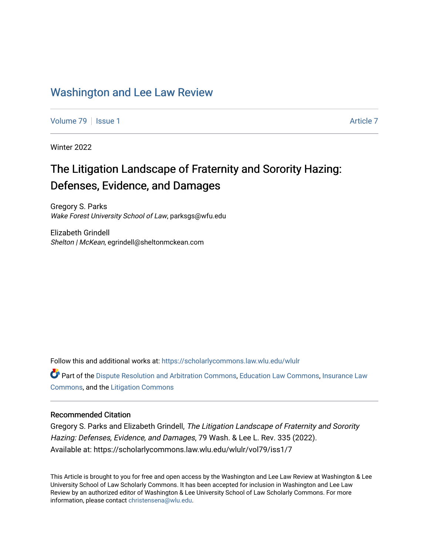## [Washington and Lee Law Review](https://scholarlycommons.law.wlu.edu/wlulr)

[Volume 79](https://scholarlycommons.law.wlu.edu/wlulr/vol79) | [Issue 1](https://scholarlycommons.law.wlu.edu/wlulr/vol79/iss1) [Article 7](https://scholarlycommons.law.wlu.edu/wlulr/vol79/iss1/7) Article 7

Winter 2022

## The Litigation Landscape of Fraternity and Sorority Hazing: Defenses, Evidence, and Damages

Gregory S. Parks Wake Forest University School of Law, parksgs@wfu.edu

Elizabeth Grindell Shelton | McKean, egrindell@sheltonmckean.com

Follow this and additional works at: [https://scholarlycommons.law.wlu.edu/wlulr](https://scholarlycommons.law.wlu.edu/wlulr?utm_source=scholarlycommons.law.wlu.edu%2Fwlulr%2Fvol79%2Fiss1%2F7&utm_medium=PDF&utm_campaign=PDFCoverPages) 

Part of the [Dispute Resolution and Arbitration Commons,](http://network.bepress.com/hgg/discipline/890?utm_source=scholarlycommons.law.wlu.edu%2Fwlulr%2Fvol79%2Fiss1%2F7&utm_medium=PDF&utm_campaign=PDFCoverPages) [Education Law Commons,](http://network.bepress.com/hgg/discipline/596?utm_source=scholarlycommons.law.wlu.edu%2Fwlulr%2Fvol79%2Fiss1%2F7&utm_medium=PDF&utm_campaign=PDFCoverPages) [Insurance Law](http://network.bepress.com/hgg/discipline/607?utm_source=scholarlycommons.law.wlu.edu%2Fwlulr%2Fvol79%2Fiss1%2F7&utm_medium=PDF&utm_campaign=PDFCoverPages)  [Commons](http://network.bepress.com/hgg/discipline/607?utm_source=scholarlycommons.law.wlu.edu%2Fwlulr%2Fvol79%2Fiss1%2F7&utm_medium=PDF&utm_campaign=PDFCoverPages), and the [Litigation Commons](http://network.bepress.com/hgg/discipline/910?utm_source=scholarlycommons.law.wlu.edu%2Fwlulr%2Fvol79%2Fiss1%2F7&utm_medium=PDF&utm_campaign=PDFCoverPages)

## Recommended Citation

Gregory S. Parks and Elizabeth Grindell, The Litigation Landscape of Fraternity and Sorority Hazing: Defenses, Evidence, and Damages, 79 Wash. & Lee L. Rev. 335 (2022). Available at: https://scholarlycommons.law.wlu.edu/wlulr/vol79/iss1/7

This Article is brought to you for free and open access by the Washington and Lee Law Review at Washington & Lee University School of Law Scholarly Commons. It has been accepted for inclusion in Washington and Lee Law Review by an authorized editor of Washington & Lee University School of Law Scholarly Commons. For more information, please contact [christensena@wlu.edu](mailto:christensena@wlu.edu).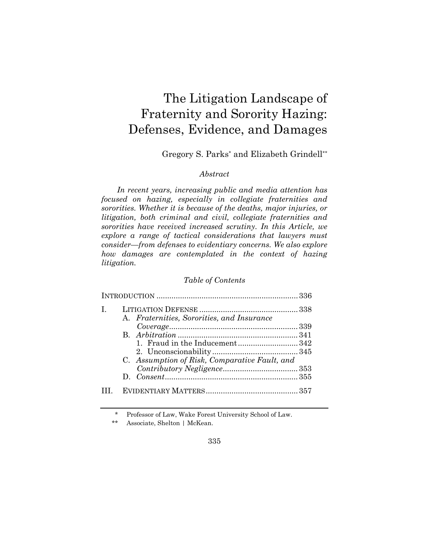# The Litigation Landscape of Fraternity and Sorority Hazing: Defenses, Evidence, and Damages

Gregory S. Parks\* and Elizabeth Grindell\*\*

## *Abstract*

*In recent years, increasing public and media attention has focused on hazing, especially in collegiate fraternities and sororities. Whether it is because of the deaths, major injuries, or litigation, both criminal and civil, collegiate fraternities and sororities have received increased scrutiny. In this Article, we explore a range of tactical considerations that lawyers must consider—from defenses to evidentiary concerns. We also explore how damages are contemplated in the context of hazing litigation.* 

## *Table of Contents*

| L | A. Fraternities, Sororities, and Insurance                                     |  |
|---|--------------------------------------------------------------------------------|--|
|   |                                                                                |  |
|   | 1. Fraud in the Inducement342<br>C. Assumption of Risk, Comparative Fault, and |  |
|   |                                                                                |  |
|   |                                                                                |  |

\* Professor of Law, Wake Forest University School of Law.

\*\* Associate, Shelton | McKean.

335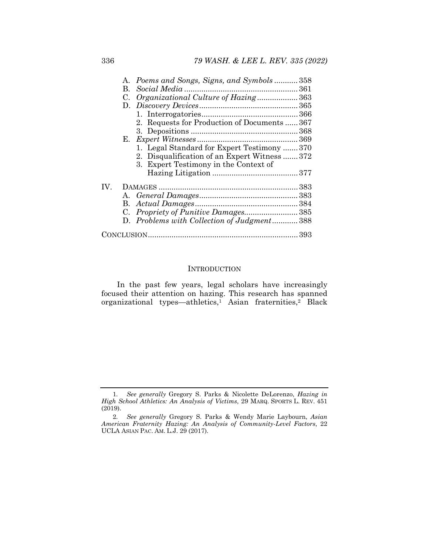| A. Poems and Songs, Signs, and Symbols  358         |  |
|-----------------------------------------------------|--|
| B.                                                  |  |
| Organizational Culture of Hazing 363<br>$C_{\cdot}$ |  |
|                                                     |  |
|                                                     |  |
| 2. Requests for Production of Documents  367        |  |
|                                                     |  |
| Е.                                                  |  |
| 1. Legal Standard for Expert Testimony  370         |  |
| 2. Disqualification of an Expert Witness372         |  |
| 3. Expert Testimony in the Context of               |  |
|                                                     |  |
| IV.                                                 |  |
|                                                     |  |
|                                                     |  |
|                                                     |  |
| D. Problems with Collection of Judgment 388         |  |
|                                                     |  |

#### INTRODUCTION

In the past few years, legal scholars have increasingly focused their attention on hazing. This research has spanned organizational types—athletics,1 Asian fraternities,2 Black

<sup>1</sup>*. See generally* Gregory S. Parks & Nicolette DeLorenzo, *Hazing in High School Athletics: An Analysis of Victims*, 29 MARQ. SPORTS L. REV. 451 (2019).

<sup>2</sup>*. See generally* Gregory S. Parks & Wendy Marie Laybourn, *Asian American Fraternity Hazing: An Analysis of Community-Level Factors*, 22 UCLA ASIAN PAC. AM. L.J. 29 (2017).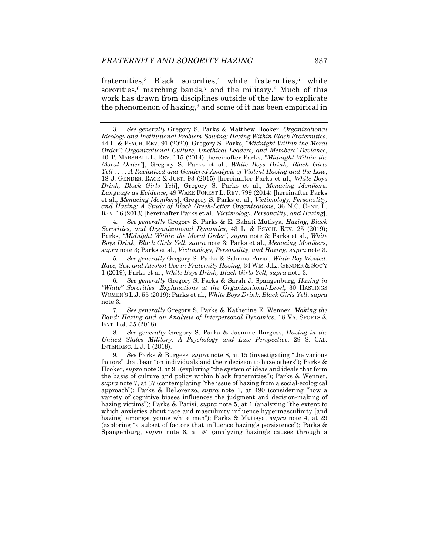fraternities,<sup>3</sup> Black sororities,<sup>4</sup> white fraternities,<sup>5</sup> white sororities, $6$  marching bands, $7$  and the military. $8$  Much of this work has drawn from disciplines outside of the law to explicate the phenomenon of hazing,<sup>9</sup> and some of it has been empirical in

4*. See generally* Gregory S. Parks & E. Bahati Mutisya, *Hazing, Black Sororities, and Organizational Dynamics*, 43 L. & PSYCH. REV. 25 (2019); Parks, *"Midnight Within the Moral Order"*, *supra* note 3; Parks et al., *White Boys Drink, Black Girls Yell*, *supra* note 3; Parks et al., *Menacing Monikers*, *supra* note 3; Parks et al., *Victimology, Personality, and Hazing*, *supra* note 3.

5*. See generally* Gregory S. Parks & Sabrina Parisi, *White Boy Wasted: Race, Sex, and Alcohol Use in Fraternity Hazing*, 34 WIS. J.L., GENDER & SOC'Y 1 (2019); Parks et al., *White Boys Drink, Black Girls Yell*, *supra* note 3*.*

6*. See generally* Gregory S. Parks & Sarah J. Spangenburg, *Hazing in "White" Sororities: Explanations at the Organizational-Level*, 30 HASTINGS WOMEN'S L.J. 55 (2019); Parks et al., *White Boys Drink, Black Girls Yell*, *supra*  note 3*.*

7*. See generally* Gregory S. Parks & Katherine E. Wenner, *Making the Band: Hazing and an Analysis of Interpersonal Dynamics*, 18 VA. SPORTS & ENT. L.J. 35 (2018).

8*. See generally* Gregory S. Parks & Jasmine Burgess, *Hazing in the United States Military: A Psychology and Law Perspective*, 29 S. CAL. INTERDISC. L.J. 1 (2019).

9*. See* Parks & Burgess, *supra* note 8, at 15 (investigating "the various factors" that bear "on individuals and their decision to haze others"); Parks & Hooker, *supra* note 3, at 93 (exploring "the system of ideas and ideals that form the basis of culture and policy within black fraternities"); Parks & Wenner, *supra* note 7, at 37 (contemplating "the issue of hazing from a social-ecological approach"); Parks & DeLorenzo, *supra* note 1, at 490 (considering "how a variety of cognitive biases influences the judgment and decision-making of hazing victims"); Parks & Parisi, *supra* note 5, at 1 (analyzing "the extent to which anxieties about race and masculinity influence hypermasculinity [and hazing] amongst young white men"); Parks & Mutisya, *supra* note 4, at 29 (exploring "a subset of factors that influence hazing's persistence"); Parks & Spangenburg, *supra* note 6, at 94 (analyzing hazing's causes through a

<sup>3</sup>*. See generally* Gregory S. Parks & Matthew Hooker, *Organizational Ideology and Institutional Problem-Solving: Hazing Within Black Fraternities*, 44 L. & PSYCH. REV. 91 (2020); Gregory S. Parks, *"Midnight Within the Moral Order": Organizational Culture, Unethical Leaders, and Members' Deviance*, 40 T. MARSHALL L. REV. 115 (2014) [hereinafter Parks, *"Midnight Within the Moral Order"*]; Gregory S. Parks et al., *White Boys Drink, Black Girls Yell . . . : A Racialized and Gendered Analysis of Violent Hazing and the Law*, 18 J. GENDER, RACE & JUST. 93 (2015) [hereinafter Parks et al., *White Boys Drink, Black Girls Yell*]; Gregory S. Parks et al., *Menacing Monikers: Language as Evidence*, 49 WAKE FOREST L. REV. 799 (2014) [hereinafter Parks et al., *Menacing Monikers*]; Gregory S. Parks et al., *Victimology, Personality, and Hazing: A Study of Black Greek-Letter Organizations*, 36 N.C. CENT. L. REV. 16 (2013) [hereinafter Parks et al., *Victimology, Personality, and Hazing*].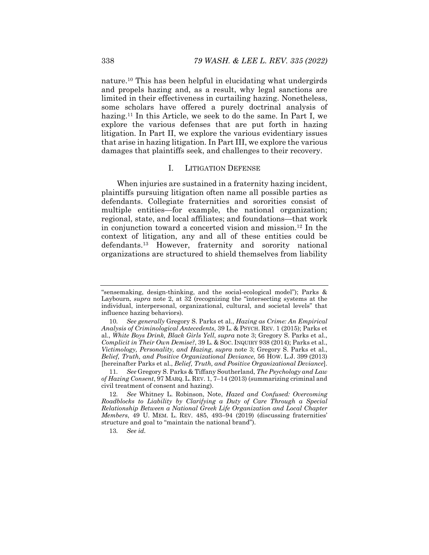nature.10 This has been helpful in elucidating what undergirds and propels hazing and, as a result, why legal sanctions are limited in their effectiveness in curtailing hazing. Nonetheless, some scholars have offered a purely doctrinal analysis of hazing.11 In this Article, we seek to do the same. In Part I, we explore the various defenses that are put forth in hazing litigation. In Part II, we explore the various evidentiary issues that arise in hazing litigation. In Part III, we explore the various damages that plaintiffs seek, and challenges to their recovery.

#### I. LITIGATION DEFENSE

When injuries are sustained in a fraternity hazing incident, plaintiffs pursuing litigation often name all possible parties as defendants. Collegiate fraternities and sororities consist of multiple entities—for example, the national organization; regional, state, and local affiliates; and foundations—that work in conjunction toward a concerted vision and mission.12 In the context of litigation, any and all of these entities could be defendants.13 However, fraternity and sorority national organizations are structured to shield themselves from liability

<sup>&</sup>quot;sensemaking, design-thinking, and the social-ecological model"); Parks & Laybourn, *supra* note 2, at 32 (recognizing the "intersecting systems at the individual, interpersonal, organizational, cultural, and societal levels" that influence hazing behaviors)*.*

<sup>10</sup>*. See generally* Gregory S. Parks et al., *Hazing as Crime: An Empirical Analysis of Criminological Antecedents*, 39 L. & PSYCH. REV. 1 (2015); Parks et al., *White Boys Drink, Black Girls Yell*, *supra* note 3; Gregory S. Parks et al., *Complicit in Their Own Demise?*, 39 L. & Soc. INQUIRY 938 (2014); Parks et al., *Victimology, Personality, and Hazing*, *supra* note 3; Gregory S. Parks et al., *Belief, Truth, and Positive Organizational Deviance*, 56 HOW. L.J. 399 (2013) [hereinafter Parks et al., *Belief, Truth, and Positive Organizational Deviance*].

<sup>11</sup>*. See* Gregory S. Parks & Tiffany Southerland, *The Psychology and Law of Hazing Consent*, 97 MARQ. L. REV. 1, 7–14 (2013) (summarizing criminal and civil treatment of consent and hazing).

<sup>12</sup>*. See* Whitney L. Robinson, Note, *Hazed and Confused: Overcoming Roadblocks to Liability by Clarifying a Duty of Care Through a Special Relationship Between a National Greek Life Organization and Local Chapter Members*, 49 U. MEM. L. REV. 485, 493–94 (2019) (discussing fraternities' structure and goal to "maintain the national brand").

<sup>13</sup>*. See id.*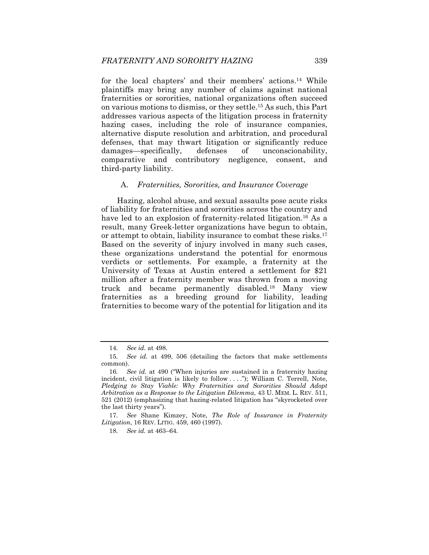for the local chapters' and their members' actions.14 While plaintiffs may bring any number of claims against national fraternities or sororities, national organizations often succeed on various motions to dismiss, or they settle.15 As such, this Part addresses various aspects of the litigation process in fraternity hazing cases, including the role of insurance companies, alternative dispute resolution and arbitration, and procedural defenses, that may thwart litigation or significantly reduce damages—specifically, defenses of unconscionability, comparative and contributory negligence, consent, and third-party liability.

#### A. *Fraternities, Sororities, and Insurance Coverage*

Hazing, alcohol abuse, and sexual assaults pose acute risks of liability for fraternities and sororities across the country and have led to an explosion of fraternity-related litigation.<sup>16</sup> As a result, many Greek-letter organizations have begun to obtain, or attempt to obtain, liability insurance to combat these risks.17 Based on the severity of injury involved in many such cases, these organizations understand the potential for enormous verdicts or settlements. For example, a fraternity at the University of Texas at Austin entered a settlement for \$21 million after a fraternity member was thrown from a moving truck and became permanently disabled.18 Many view fraternities as a breeding ground for liability, leading fraternities to become wary of the potential for litigation and its

<sup>14</sup>*. See id.* at 498.

<sup>15</sup>*. See id.* at 499, 506 (detailing the factors that make settlements common).

<sup>16</sup>*. See id.* at 490 ("When injuries are sustained in a fraternity hazing incident, civil litigation is likely to follow . . . ."); William C. Terrell, Note, *Pledging to Stay Viable: Why Fraternities and Sororities Should Adopt Arbitration as a Response to the Litigation Dilemma*, 43 U. MEM. L. REV. 511, 521 (2012) (emphasizing that hazing-related litigation has "skyrocketed over the last thirty years").

<sup>17</sup>*. See* Shane Kimzey, Note, *The Role of Insurance in Fraternity Litigation*, 16 REV. LITIG. 459, 460 (1997).

<sup>18</sup>*. See id.* at 463–64.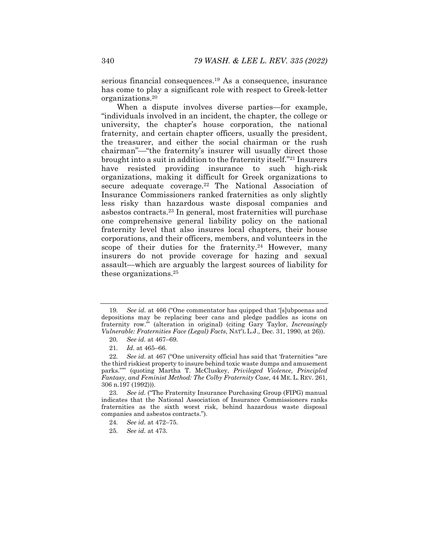serious financial consequences.19 As a consequence, insurance has come to play a significant role with respect to Greek-letter organizations.20

When a dispute involves diverse parties—for example, "individuals involved in an incident, the chapter, the college or university, the chapter's house corporation, the national fraternity, and certain chapter officers, usually the president, the treasurer, and either the social chairman or the rush chairman"—"the fraternity's insurer will usually direct those brought into a suit in addition to the fraternity itself."21 Insurers have resisted providing insurance to such high-risk organizations, making it difficult for Greek organizations to secure adequate coverage.<sup>22</sup> The National Association of Insurance Commissioners ranked fraternities as only slightly less risky than hazardous waste disposal companies and asbestos contracts.23 In general, most fraternities will purchase one comprehensive general liability policy on the national fraternity level that also insures local chapters, their house corporations, and their officers, members, and volunteers in the scope of their duties for the fraternity.<sup>24</sup> However, many insurers do not provide coverage for hazing and sexual assault—which are arguably the largest sources of liability for these organizations.25

<sup>19</sup>*. See id.* at 466 ("One commentator has quipped that '[s]ubpoenas and depositions may be replacing beer cans and pledge paddles as icons on fraternity row.'" (alteration in original) (citing Gary Taylor, *Increasingly Vulnerable: Fraternities Face (Legal) Facts*, NAT'L L.J., Dec. 31, 1990, at 26)).

<sup>20</sup>*. See id.* at 467–69.

<sup>21</sup>*. Id.* at 465–66.

<sup>22</sup>*. See id.* at 467 ("One university official has said that 'fraternities "are the third riskiest property to insure behind toxic waste dumps and amusement parks."'" (quoting Martha T. McCluskey, *Privileged Violence, Principled Fantasy, and Feminist Method: The Colby Fraternity Case*, 44 ME. L. REV. 261, 306 n.197 (1992))).

<sup>23</sup>*. See id.* ("The Fraternity Insurance Purchasing Group (FIPG) manual indicates that the National Association of Insurance Commissioners ranks fraternities as the sixth worst risk, behind hazardous waste disposal companies and asbestos contracts.").

<sup>24</sup>*. See id.* at 472–75.

<sup>25</sup>*. See id.* at 473.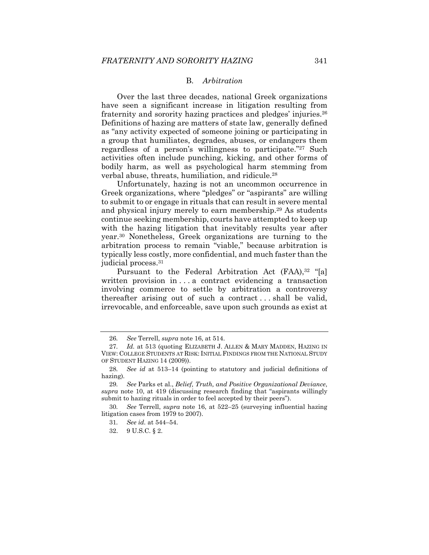#### B. *Arbitration*

Over the last three decades, national Greek organizations have seen a significant increase in litigation resulting from fraternity and sorority hazing practices and pledges' injuries.26 Definitions of hazing are matters of state law, generally defined as "any activity expected of someone joining or participating in a group that humiliates, degrades, abuses, or endangers them regardless of a person's willingness to participate."27 Such activities often include punching, kicking, and other forms of bodily harm, as well as psychological harm stemming from verbal abuse, threats, humiliation, and ridicule.28

Unfortunately, hazing is not an uncommon occurrence in Greek organizations, where "pledges" or "aspirants" are willing to submit to or engage in rituals that can result in severe mental and physical injury merely to earn membership.29 As students continue seeking membership, courts have attempted to keep up with the hazing litigation that inevitably results year after year.30 Nonetheless, Greek organizations are turning to the arbitration process to remain "viable," because arbitration is typically less costly, more confidential, and much faster than the judicial process.<sup>31</sup>

Pursuant to the Federal Arbitration Act (FAA),<sup>32</sup> "[a] written provision in . . . a contract evidencing a transaction involving commerce to settle by arbitration a controversy thereafter arising out of such a contract . . . shall be valid, irrevocable, and enforceable, save upon such grounds as exist at

<sup>26</sup>*. See* Terrell, *supra* note 16, at 514.

<sup>27</sup>*. Id.* at 513 (quoting ELIZABETH J. ALLEN & MARY MADDEN, HAZING IN VIEW: COLLEGE STUDENTS AT RISK: INITIAL FINDINGS FROM THE NATIONAL STUDY OF STUDENT HAZING 14 (2009)).

<sup>28</sup>*. See id* at 513–14 (pointing to statutory and judicial definitions of hazing)*.*

<sup>29</sup>*. See* Parks et al., *Belief, Truth, and Positive Organizational Deviance*, *supra* note 10, at 419 (discussing research finding that "aspirants willingly submit to hazing rituals in order to feel accepted by their peers").

<sup>30</sup>*. See* Terrell, *supra* note 16, at 522–25 (surveying influential hazing litigation cases from 1979 to 2007).

<sup>31</sup>*. See id.* at 544–54.

 <sup>32. 9</sup> U.S.C. § 2.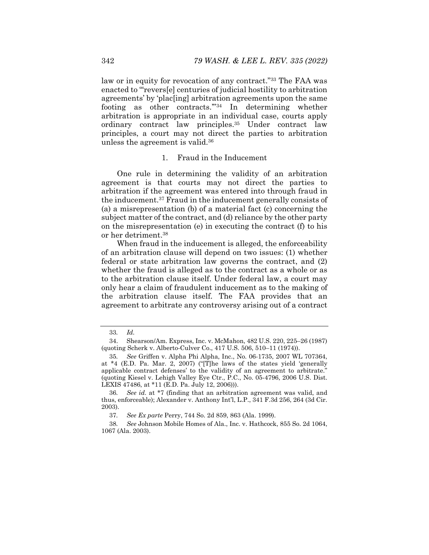law or in equity for revocation of any contract."33 The FAA was enacted to "'revers[e] centuries of judicial hostility to arbitration agreements' by 'plac[ing] arbitration agreements upon the same footing as other contracts.'"34 In determining whether arbitration is appropriate in an individual case, courts apply ordinary contract law principles.35 Under contract law principles, a court may not direct the parties to arbitration unless the agreement is valid.36

## 1. Fraud in the Inducement

One rule in determining the validity of an arbitration agreement is that courts may not direct the parties to arbitration if the agreement was entered into through fraud in the inducement.37 Fraud in the inducement generally consists of (a) a misrepresentation (b) of a material fact (c) concerning the subject matter of the contract, and (d) reliance by the other party on the misrepresentation (e) in executing the contract (f) to his or her detriment.38

When fraud in the inducement is alleged, the enforceability of an arbitration clause will depend on two issues: (1) whether federal or state arbitration law governs the contract, and (2) whether the fraud is alleged as to the contract as a whole or as to the arbitration clause itself. Under federal law, a court may only hear a claim of fraudulent inducement as to the making of the arbitration clause itself. The FAA provides that an agreement to arbitrate any controversy arising out of a contract

<sup>33</sup>*. Id.* 

 <sup>34.</sup> Shearson/Am. Express, Inc. v. McMahon, 482 U.S. 220, 225–26 (1987) (quoting Scherk v. Alberto-Culver Co., 417 U.S. 506, 510–11 (1974)).

<sup>35</sup>*. See* Griffen v. Alpha Phi Alpha, Inc., No. 06-1735, 2007 WL 707364, at \*4 (E.D. Pa. Mar. 2, 2007) ("[T]he laws of the states yield 'generally applicable contract defenses' to the validity of an agreement to arbitrate." (quoting Kiesel v. Lehigh Valley Eye Ctr., P.C., No. 05-4796, 2006 U.S. Dist. LEXIS 47486, at \*11 (E.D. Pa. July 12, 2006))).

<sup>36</sup>*. See id.* at \*7 (finding that an arbitration agreement was valid, and thus, enforceable); Alexander v. Anthony Int'l, L.P., 341 F.3d 256, 264 (3d Cir. 2003).

<sup>37</sup>*. See Ex parte* Perry, 744 So. 2d 859, 863 (Ala. 1999).

<sup>38</sup>*. See* Johnson Mobile Homes of Ala., Inc. v. Hathcock, 855 So. 2d 1064, 1067 (Ala. 2003).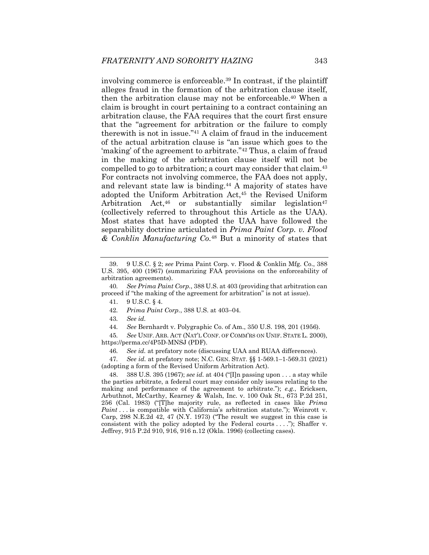involving commerce is enforceable.39 In contrast, if the plaintiff alleges fraud in the formation of the arbitration clause itself, then the arbitration clause may not be enforceable.40 When a claim is brought in court pertaining to a contract containing an arbitration clause, the FAA requires that the court first ensure that the "agreement for arbitration or the failure to comply therewith is not in issue."41 A claim of fraud in the inducement of the actual arbitration clause is "an issue which goes to the 'making' of the agreement to arbitrate."42 Thus, a claim of fraud in the making of the arbitration clause itself will not be compelled to go to arbitration; a court may consider that claim.43 For contracts not involving commerce, the FAA does not apply, and relevant state law is binding.<sup>44</sup> A majority of states have adopted the Uniform Arbitration Act,45 the Revised Uniform Arbitration Act, $46$  or substantially similar legislation $47$ (collectively referred to throughout this Article as the UAA). Most states that have adopted the UAA have followed the separability doctrine articulated in *Prima Paint Corp. v. Flood & Conklin Manufacturing Co.*48 But a minority of states that

45*. See* UNIF. ARB. ACT (NAT'L CONF. OF COMM'RS ON UNIF. STATE L. 2000), https://perma.cc/4P5D-MNSJ (PDF).

46*. See id.* at prefatory note (discussing UAA and RUAA differences).

47*. See id.* at prefatory note; N.C. GEN. STAT. §§ 1-569.1–1-569.31 (2021) (adopting a form of the Revised Uniform Arbitration Act).

 48. 388 U.S. 395 (1967); *see id.* at 404 ("[I]n passing upon . . . a stay while the parties arbitrate, a federal court may consider only issues relating to the making and performance of the agreement to arbitrate."); *e.g.*, Ericksen, Arbuthnot, McCarthy, Kearney & Walsh, Inc. v. 100 Oak St., 673 P.2d 251, 256 (Cal. 1983) ("[T]he majority rule, as reflected in cases like *Prima Paint* . . . is compatible with California's arbitration statute."); Weinrott v. Carp, 298 N.E.2d 42, 47 (N.Y. 1973) ("The result we suggest in this case is consistent with the policy adopted by the Federal courts . . . ."); Shaffer v. Jeffrey, 915 P.2d 910, 916, 916 n.12 (Okla. 1996) (collecting cases).

 <sup>39. 9</sup> U.S.C. § 2; *see* Prima Paint Corp. v. Flood & Conklin Mfg. Co., 388 U.S. 395, 400 (1967) (summarizing FAA provisions on the enforceability of arbitration agreements).

<sup>40</sup>*. See Prima Paint Corp.*, 388 U.S. at 403 (providing that arbitration can proceed if "the making of the agreement for arbitration" is not at issue).

 <sup>41. 9</sup> U.S.C. § 4.

<sup>42</sup>*. Prima Paint Corp.*, 388 U.S. at 403–04.

<sup>43</sup>*. See id.*

<sup>44</sup>*. See* Bernhardt v. Polygraphic Co. of Am., 350 U.S. 198, 201 (1956).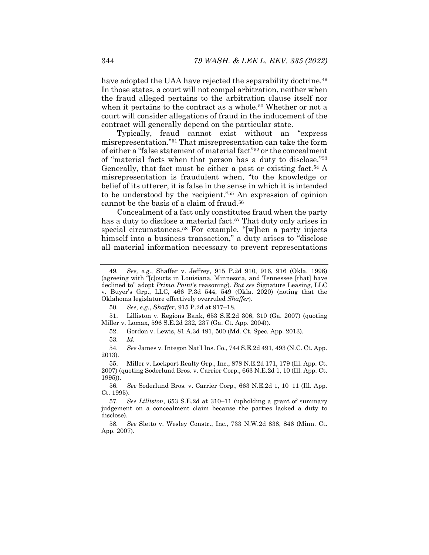have adopted the UAA have rejected the separability doctrine.<sup>49</sup> In those states, a court will not compel arbitration, neither when the fraud alleged pertains to the arbitration clause itself nor when it pertains to the contract as a whole.<sup>50</sup> Whether or not a court will consider allegations of fraud in the inducement of the contract will generally depend on the particular state.

Typically, fraud cannot exist without an "express misrepresentation."51 That misrepresentation can take the form of either a "false statement of material fact"52 or the concealment of "material facts when that person has a duty to disclose."53 Generally, that fact must be either a past or existing fact.<sup>54</sup> A misrepresentation is fraudulent when, "to the knowledge or belief of its utterer, it is false in the sense in which it is intended to be understood by the recipient."55 An expression of opinion cannot be the basis of a claim of fraud.56

Concealment of a fact only constitutes fraud when the party has a duty to disclose a material fact.<sup>57</sup> That duty only arises in special circumstances.<sup>58</sup> For example, "[w]hen a party injects himself into a business transaction," a duty arises to "disclose" all material information necessary to prevent representations

<sup>49</sup>*. See, e.g.*, Shaffer v. Jeffrey, 915 P.2d 910, 916, 916 (Okla. 1996) (agreeing with "[c]ourts in Louisiana, Minnesota, and Tennessee [that] have declined to" adopt *Prima Paint*'s reasoning). *But see* Signature Leasing, LLC Buyer's Grp., LLC, 466 P.3d 544, 549 (Okla. 2020) (noting that the Oklahoma legislature effectively overruled *Shaffer*).

<sup>50</sup>*. See, e.g.*, *Shaffer*, 915 P.2d at 917–18.

 <sup>51.</sup> Lilliston v. Regions Bank, 653 S.E.2d 306, 310 (Ga. 2007) (quoting Miller v. Lomax, 596 S.E.2d 232, 237 (Ga. Ct. App. 2004)).

 <sup>52.</sup> Gordon v. Lewis, 81 A.3d 491, 500 (Md. Ct. Spec. App. 2013).

<sup>53</sup>*. Id.*

<sup>54</sup>*. See* James v. Integon Nat'l Ins. Co., 744 S.E.2d 491, 493 (N.C. Ct. App. 2013).

 <sup>55.</sup> Miller v. Lockport Realty Grp., Inc., 878 N.E.2d 171, 179 (Ill. App. Ct. 2007) (quoting Soderlund Bros. v. Carrier Corp., 663 N.E.2d 1, 10 (Ill. App. Ct. 1995)).

<sup>56.</sup> See Soderlund Bros. v. Carrier Corp., 663 N.E.2d 1, 10-11 (Ill. App. Ct. 1995).

<sup>57</sup>*. See Lilliston*, 653 S.E.2d at 310–11 (upholding a grant of summary judgement on a concealment claim because the parties lacked a duty to disclose).

<sup>58</sup>*. See* Sletto v. Wesley Constr., Inc., 733 N.W.2d 838, 846 (Minn. Ct. App. 2007).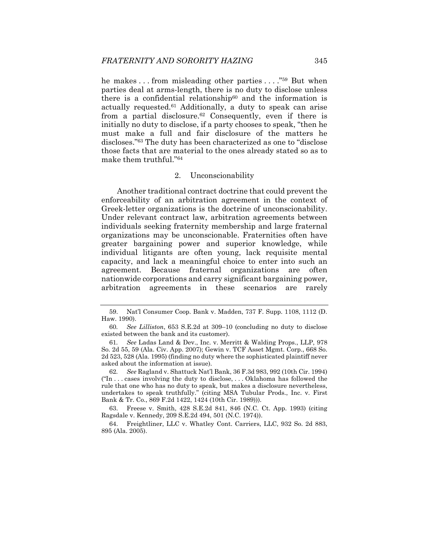he makes . . . from misleading other parties . . . ."59 But when parties deal at arms-length, there is no duty to disclose unless there is a confidential relationship<sup>60</sup> and the information is actually requested.<sup>61</sup> Additionally, a duty to speak can arise from a partial disclosure.62 Consequently, even if there is initially no duty to disclose, if a party chooses to speak, "then he must make a full and fair disclosure of the matters he discloses."63 The duty has been characterized as one to "disclose those facts that are material to the ones already stated so as to make them truthful."64

#### 2. Unconscionability

Another traditional contract doctrine that could prevent the enforceability of an arbitration agreement in the context of Greek-letter organizations is the doctrine of unconscionability. Under relevant contract law, arbitration agreements between individuals seeking fraternity membership and large fraternal organizations may be unconscionable. Fraternities often have greater bargaining power and superior knowledge, while individual litigants are often young, lack requisite mental capacity, and lack a meaningful choice to enter into such an agreement. Because fraternal organizations are often nationwide corporations and carry significant bargaining power, arbitration agreements in these scenarios are rarely

 <sup>59.</sup> Nat'l Consumer Coop. Bank v. Madden, 737 F. Supp. 1108, 1112 (D. Haw. 1990).

<sup>60</sup>*. See Lilliston*, 653 S.E.2d at 309–10 (concluding no duty to disclose existed between the bank and its customer).

<sup>61</sup>*. See* Ladas Land & Dev., Inc. v. Merritt & Walding Props., LLP, 978 So. 2d 55, 59 (Ala. Civ. App. 2007); Gewin v. TCF Asset Mgmt. Corp., 668 So. 2d 523, 528 (Ala. 1995) (finding no duty where the sophisticated plaintiff never asked about the information at issue).

<sup>62</sup>*. See* Ragland v. Shattuck Nat'l Bank, 36 F.3d 983, 992 (10th Cir. 1994)  $("In... cases involving the duty to disclose... Oklahoma has followed the$ rule that one who has no duty to speak, but makes a disclosure nevertheless, undertakes to speak truthfully." (citing MSA Tubular Prods., Inc. v. First Bank & Tr. Co., 869 F.2d 1422, 1424 (10th Cir. 1989))).

 <sup>63.</sup> Freese v. Smith, 428 S.E.2d 841, 846 (N.C. Ct. App. 1993) (citing Ragsdale v. Kennedy, 209 S.E.2d 494, 501 (N.C. 1974)).

 <sup>64.</sup> Freightliner, LLC v. Whatley Cont. Carriers, LLC, 932 So. 2d 883, 895 (Ala. 2005).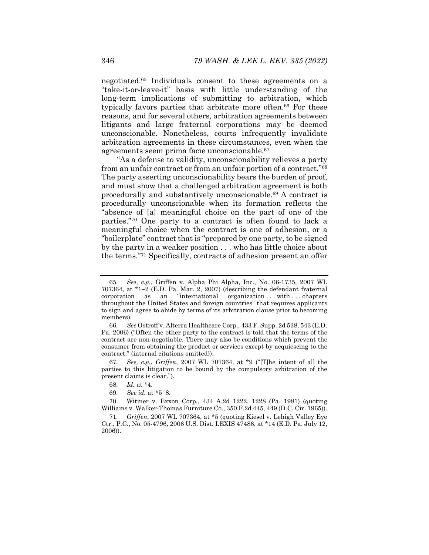negotiated.65 Individuals consent to these agreements on a "take-it-or-leave-it" basis with little understanding of the long-term implications of submitting to arbitration, which typically favors parties that arbitrate more often.<sup>66</sup> For these reasons, and for several others, arbitration agreements between litigants and large fraternal corporations may be deemed unconscionable. Nonetheless, courts infrequently invalidate arbitration agreements in these circumstances, even when the agreements seem prima facie unconscionable.67

"As a defense to validity, unconscionability relieves a party from an unfair contract or from an unfair portion of a contract."68 The party asserting unconscionability bears the burden of proof, and must show that a challenged arbitration agreement is both procedurally and substantively unconscionable.69 A contract is procedurally unconscionable when its formation reflects the "absence of [a] meaningful choice on the part of one of the parties."70 One party to a contract is often found to lack a meaningful choice when the contract is one of adhesion, or a "boilerplate" contract that is "prepared by one party, to be signed by the party in a weaker position . . . who has little choice about the terms."71 Specifically, contracts of adhesion present an offer

67*. See, e.g.*, *Griffen*, 2007 WL 707364, at \*9 ("[T]he intent of all the parties to this litigation to be bound by the compulsory arbitration of the present claims is clear.").

 70. Witmer v. Exxon Corp., 434 A.2d 1222, 1228 (Pa. 1981) (quoting Williams v. Walker-Thomas Furniture Co., 350 F.2d 445, 449 (D.C. Cir. 1965)).

71*. Griffen*, 2007 WL 707364, at \*5 (quoting Kiesel v. Lehigh Valley Eye Ctr., P.C., No. 05-4796, 2006 U.S. Dist. LEXIS 47486, at \*14 (E.D. Pa. July 12, 2006)).

<sup>65</sup>*. See, e.g.*, Griffen v. Alpha Phi Alpha, Inc., No. 06-1735, 2007 WL 707364, at  $*1-2$  (E.D. Pa. Mar. 2, 2007) (describing the defendant fraternal corporation as an "international organization . . . with . . . chapters throughout the United States and foreign countries" that requires applicants to sign and agree to abide by terms of its arbitration clause prior to becoming members).

<sup>66</sup>*. See* Ostroff v. Alterra Healthcare Corp., 433 F. Supp. 2d 538, 543 (E.D. Pa. 2006) ("Often the other party to the contract is told that the terms of the contract are non-negotiable. There may also be conditions which prevent the consumer from obtaining the product or services except by acquiescing to the contract." (internal citations omitted)).

<sup>68</sup>*. Id.* at \*4.

<sup>69.</sup> See id. at \*5-8.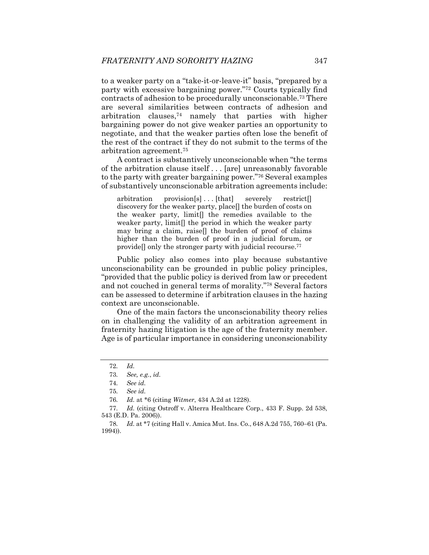to a weaker party on a "take-it-or-leave-it" basis, "prepared by a party with excessive bargaining power."72 Courts typically find contracts of adhesion to be procedurally unconscionable.73 There are several similarities between contracts of adhesion and arbitration clauses, $74$  namely that parties with higher bargaining power do not give weaker parties an opportunity to negotiate, and that the weaker parties often lose the benefit of the rest of the contract if they do not submit to the terms of the arbitration agreement.75

A contract is substantively unconscionable when "the terms of the arbitration clause itself . . . [are] unreasonably favorable to the party with greater bargaining power."76 Several examples of substantively unconscionable arbitration agreements include:

arbitration provision[s]...[that] severely restrict[] discovery for the weaker party, place[] the burden of costs on the weaker party, limit[] the remedies available to the weaker party, limit[] the period in which the weaker party may bring a claim, raise[] the burden of proof of claims higher than the burden of proof in a judicial forum, or provide<sup>[]</sup> only the stronger party with judicial recourse.<sup>77</sup>

Public policy also comes into play because substantive unconscionability can be grounded in public policy principles, "provided that the public policy is derived from law or precedent and not couched in general terms of morality."78 Several factors can be assessed to determine if arbitration clauses in the hazing context are unconscionable.

One of the main factors the unconscionability theory relies on in challenging the validity of an arbitration agreement in fraternity hazing litigation is the age of the fraternity member. Age is of particular importance in considering unconscionability

<sup>72</sup>*. Id.*

<sup>73</sup>*. See, e.g.*, *id.*

<sup>74</sup>*. See id.*

<sup>75</sup>*. See id.*

<sup>76</sup>*. Id.* at \*6 (citing *Witmer*, 434 A.2d at 1228).

<sup>77</sup>*. Id.* (citing Ostroff v. Alterra Healthcare Corp., 433 F. Supp. 2d 538, 543 (E.D. Pa. 2006)).

<sup>78.</sup> *Id.* at \*7 (citing Hall v. Amica Mut. Ins. Co., 648 A.2d 755, 760–61 (Pa. 1994)).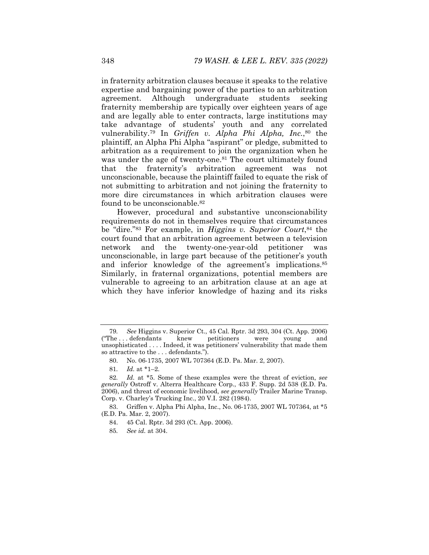in fraternity arbitration clauses because it speaks to the relative expertise and bargaining power of the parties to an arbitration agreement. Although undergraduate students seeking fraternity membership are typically over eighteen years of age and are legally able to enter contracts, large institutions may take advantage of students' youth and any correlated vulnerability.79 In *Griffen v. Alpha Phi Alpha, Inc.*,80 the plaintiff, an Alpha Phi Alpha "aspirant" or pledge, submitted to arbitration as a requirement to join the organization when he was under the age of twenty-one.<sup>81</sup> The court ultimately found that the fraternity's arbitration agreement was not unconscionable, because the plaintiff failed to equate the risk of not submitting to arbitration and not joining the fraternity to more dire circumstances in which arbitration clauses were found to be unconscionable.<sup>82</sup>

However, procedural and substantive unconscionability requirements do not in themselves require that circumstances be "dire."83 For example, in *Higgins v. Superior Court*,84 the court found that an arbitration agreement between a television network and the twenty-one-year-old petitioner was unconscionable, in large part because of the petitioner's youth and inferior knowledge of the agreement's implications.<sup>85</sup> Similarly, in fraternal organizations, potential members are vulnerable to agreeing to an arbitration clause at an age at which they have inferior knowledge of hazing and its risks

 83. Griffen v. Alpha Phi Alpha, Inc., No. 06-1735, 2007 WL 707364, at \*5 (E.D. Pa. Mar. 2, 2007).

85*. See id.* at 304.

<sup>79</sup>*. See* Higgins v. Superior Ct., 45 Cal. Rptr. 3d 293, 304 (Ct. App. 2006) ("The . . . defendants knew petitioners were young and unsophisticated . . . . Indeed, it was petitioners' vulnerability that made them so attractive to the . . . defendants.").

 <sup>80.</sup> No. 06-1735, 2007 WL 707364 (E.D. Pa. Mar. 2, 2007).

<sup>81</sup>*. Id.* at \*1–2.

<sup>82</sup>*. Id.* at \*5. Some of these examples were the threat of eviction, *see generally* Ostroff v. Alterra Healthcare Corp., 433 F. Supp. 2d 538 (E.D. Pa. 2006), and threat of economic livelihood, *see generally* Trailer Marine Transp. Corp. v. Charley's Trucking Inc., 20 V.I. 282 (1984).

 <sup>84. 45</sup> Cal. Rptr. 3d 293 (Ct. App. 2006).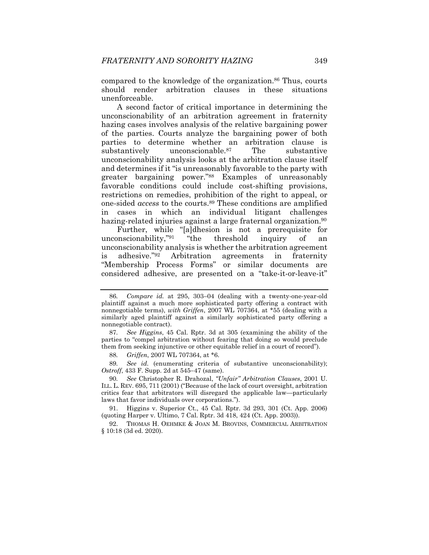compared to the knowledge of the organization.<sup>86</sup> Thus, courts should render arbitration clauses in these situations unenforceable.

A second factor of critical importance in determining the unconscionability of an arbitration agreement in fraternity hazing cases involves analysis of the relative bargaining power of the parties. Courts analyze the bargaining power of both parties to determine whether an arbitration clause is substantively unconscionable.<sup>87</sup> The substantive unconscionability analysis looks at the arbitration clause itself and determines if it "is unreasonably favorable to the party with greater bargaining power."88 Examples of unreasonably favorable conditions could include cost-shifting provisions, restrictions on remedies, prohibition of the right to appeal, or one-sided *access* to the courts.89 These conditions are amplified in cases in which an individual litigant challenges hazing-related injuries against a large fraternal organization.<sup>90</sup>

Further, while "[a]dhesion is not a prerequisite for unconscionability,"91 "the threshold inquiry of an unconscionability analysis is whether the arbitration agreement is adhesive."92 Arbitration agreements in fraternity "Membership Process Forms" or similar documents are considered adhesive, are presented on a "take-it-or-leave-it"

89*. See id.* (enumerating criteria of substantive unconscionability); *Ostroff*, 433 F. Supp. 2d at 545-47 (same).

90*. See* Christopher R. Drahozal, *"Unfair" Arbitration Clauses*, 2001 U. ILL. L. REV. 695, 711 (2001) ("Because of the lack of court oversight, arbitration critics fear that arbitrators will disregard the applicable law—particularly laws that favor individuals over corporations.").

 91. Higgins v. Superior Ct., 45 Cal. Rptr. 3d 293, 301 (Ct. App. 2006) (quoting Harper v. Ultimo, 7 Cal. Rptr. 3d 418, 424 (Ct. App. 2003)).

 92. THOMAS H. OEHMKE & JOAN M. BROVINS, COMMERCIAL ARBITRATION § 10:18 (3d ed. 2020).

<sup>86</sup>*. Compare id.* at 295, 303–04 (dealing with a twenty-one-year-old plaintiff against a much more sophisticated party offering a contract with nonnegotiable terms), *with Griffen*, 2007 WL 707364, at \*55 (dealing with a similarly aged plaintiff against a similarly sophisticated party offering a nonnegotiable contract).

<sup>87</sup>*. See Higgins*, 45 Cal. Rptr. 3d at 305 (examining the ability of the parties to "compel arbitration without fearing that doing so would preclude them from seeking injunctive or other equitable relief in a court of record").

<sup>88</sup>*. Griffen*, 2007 WL 707364, at \*6.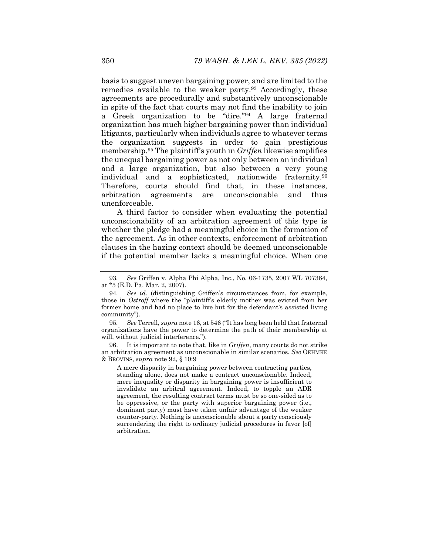basis to suggest uneven bargaining power, and are limited to the remedies available to the weaker party.<sup>93</sup> Accordingly, these agreements are procedurally and substantively unconscionable in spite of the fact that courts may not find the inability to join a Greek organization to be "dire."94 A large fraternal organization has much higher bargaining power than individual litigants, particularly when individuals agree to whatever terms the organization suggests in order to gain prestigious membership.95 The plaintiff's youth in *Griffen* likewise amplifies the unequal bargaining power as not only between an individual and a large organization, but also between a very young individual and a sophisticated, nationwide fraternity.96 Therefore, courts should find that, in these instances, arbitration agreements are unconscionable and thus unenforceable.

A third factor to consider when evaluating the potential unconscionability of an arbitration agreement of this type is whether the pledge had a meaningful choice in the formation of the agreement. As in other contexts, enforcement of arbitration clauses in the hazing context should be deemed unconscionable if the potential member lacks a meaningful choice. When one

95*. See* Terrell, *supra* note 16, at 546 ("It has long been held that fraternal organizations have the power to determine the path of their membership at will, without judicial interference.").

 96. It is important to note that, like in *Griffen*, many courts do not strike an arbitration agreement as unconscionable in similar scenarios. *See* OEHMKE & BROVINS, *supra* note 92, § 10:9

A mere disparity in bargaining power between contracting parties, standing alone, does not make a contract unconscionable. Indeed, mere inequality or disparity in bargaining power is insufficient to invalidate an arbitral agreement. Indeed, to topple an ADR agreement, the resulting contract terms must be so one-sided as to be oppressive, or the party with superior bargaining power (i.e., dominant party) must have taken unfair advantage of the weaker counter-party. Nothing is unconscionable about a party consciously surrendering the right to ordinary judicial procedures in favor [of] arbitration.

<sup>93</sup>*. See* Griffen v. Alpha Phi Alpha, Inc., No. 06-1735, 2007 WL 707364, at \*5 (E.D. Pa. Mar. 2, 2007).

<sup>94</sup>*. See id.* (distinguishing Griffen's circumstances from, for example, those in *Ostroff* where the "plaintiff's elderly mother was evicted from her former home and had no place to live but for the defendant's assisted living community").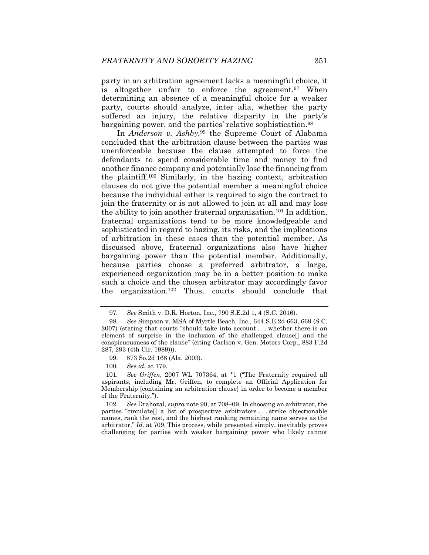party in an arbitration agreement lacks a meaningful choice, it is altogether unfair to enforce the agreement.<sup>97</sup> When determining an absence of a meaningful choice for a weaker party, courts should analyze, inter alia, whether the party suffered an injury, the relative disparity in the party's bargaining power, and the parties' relative sophistication.98

In *Anderson v. Ashby*,<sup>99</sup> the Supreme Court of Alabama concluded that the arbitration clause between the parties was unenforceable because the clause attempted to force the defendants to spend considerable time and money to find another finance company and potentially lose the financing from the plaintiff.100 Similarly, in the hazing context, arbitration clauses do not give the potential member a meaningful choice because the individual either is required to sign the contract to join the fraternity or is not allowed to join at all and may lose the ability to join another fraternal organization.101 In addition, fraternal organizations tend to be more knowledgeable and sophisticated in regard to hazing, its risks, and the implications of arbitration in these cases than the potential member. As discussed above, fraternal organizations also have higher bargaining power than the potential member. Additionally, because parties choose a preferred arbitrator, a large, experienced organization may be in a better position to make such a choice and the chosen arbitrator may accordingly favor the organization.102 Thus, courts should conclude that

101*. See Griffen*, 2007 WL 707364, at \*1 ("The Fraternity required all aspirants, including Mr. Griffen, to complete an Official Application for Membership [containing an arbitration clause] in order to become a member of the Fraternity.").

102*. See* Drahozal, *supra* note 90, at 708–09. In choosing an arbitrator, the parties "circulate[] a list of prospective arbitrators . . . strike objectionable names, rank the rest, and the highest ranking remaining name serves as the arbitrator." *Id.* at 709. This process, while presented simply, inevitably proves challenging for parties with weaker bargaining power who likely cannot

<sup>97</sup>*. See* Smith v. D.R. Horton, Inc., 790 S.E.2d 1, 4 (S.C. 2016).

<sup>98</sup>*. See* Simpson v. MSA of Myrtle Beach, Inc., 644 S.E.2d 663, 669 (S.C. 2007) (stating that courts "should take into account . . . whether there is an element of surprise in the inclusion of the challenged clause[] and the conspicuousness of the clause" (citing Carlson v. Gen. Motors Corp., 883 F.2d 287, 293 (4th Cir. 1989))).

 <sup>99. 873</sup> So.2d 168 (Ala. 2003).

<sup>100</sup>*. See id.* at 179.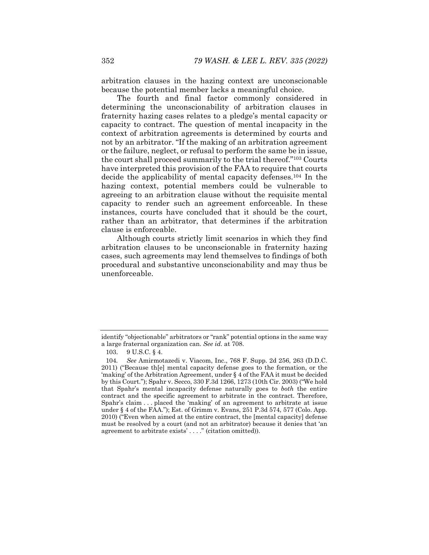arbitration clauses in the hazing context are unconscionable because the potential member lacks a meaningful choice.

The fourth and final factor commonly considered in determining the unconscionability of arbitration clauses in fraternity hazing cases relates to a pledge's mental capacity or capacity to contract. The question of mental incapacity in the context of arbitration agreements is determined by courts and not by an arbitrator. "If the making of an arbitration agreement or the failure, neglect, or refusal to perform the same be in issue, the court shall proceed summarily to the trial thereof."103 Courts have interpreted this provision of the FAA to require that courts decide the applicability of mental capacity defenses.104 In the hazing context, potential members could be vulnerable to agreeing to an arbitration clause without the requisite mental capacity to render such an agreement enforceable. In these instances, courts have concluded that it should be the court, rather than an arbitrator, that determines if the arbitration clause is enforceable.

Although courts strictly limit scenarios in which they find arbitration clauses to be unconscionable in fraternity hazing cases, such agreements may lend themselves to findings of both procedural and substantive unconscionability and may thus be unenforceable.

identify "objectionable" arbitrators or "rank" potential options in the same way a large fraternal organization can. *See id.* at 708.

 <sup>103. 9</sup> U.S.C. § 4.

<sup>104</sup>*. See* Amirmotazedi v. Viacom, Inc., 768 F. Supp. 2d 256, 263 (D.D.C. 2011) ("Because th[e] mental capacity defense goes to the formation, or the 'making' of the Arbitration Agreement, under § 4 of the FAA it must be decided by this Court."); Spahr v. Secco, 330 F.3d 1266, 1273 (10th Cir. 2003) ("We hold that Spahr's mental incapacity defense naturally goes to *both* the entire contract and the specific agreement to arbitrate in the contract. Therefore, Spahr's claim . . . placed the 'making' of an agreement to arbitrate at issue under § 4 of the FAA."); Est. of Grimm v. Evans, 251 P.3d 574, 577 (Colo. App. 2010) ("Even when aimed at the entire contract, the [mental capacity] defense must be resolved by a court (and not an arbitrator) because it denies that 'an agreement to arbitrate exists' . . . ." (citation omitted)).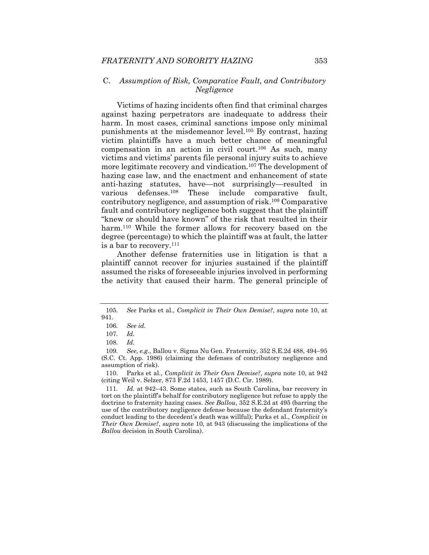#### C. *Assumption of Risk, Comparative Fault, and Contributory Negligence*

Victims of hazing incidents often find that criminal charges against hazing perpetrators are inadequate to address their harm. In most cases, criminal sanctions impose only minimal punishments at the misdemeanor level.105 By contrast, hazing victim plaintiffs have a much better chance of meaningful compensation in an action in civil court.<sup>106</sup> As such, many victims and victims' parents file personal injury suits to achieve more legitimate recovery and vindication.107 The development of hazing case law, and the enactment and enhancement of state anti-hazing statutes, have—not surprisingly—resulted in various defenses.108 These include comparative fault, contributory negligence, and assumption of risk.109 Comparative fault and contributory negligence both suggest that the plaintiff "knew or should have known" of the risk that resulted in their harm.<sup>110</sup> While the former allows for recovery based on the degree (percentage) to which the plaintiff was at fault, the latter is a bar to recovery.<sup>111</sup>

Another defense fraternities use in litigation is that a plaintiff cannot recover for injuries sustained if the plaintiff assumed the risks of foreseeable injuries involved in performing the activity that caused their harm. The general principle of

 110. Parks et al., *Complicit in Their Own Demise?*, *supra* note 10, at 942 (citing Weil v. Selzer, 873 F.2d 1453, 1457 (D.C. Cir. 1989).

<sup>105</sup>*. See* Parks et al., *Complicit in Their Own Demise?*, *supra* note 10, at 941.

<sup>106</sup>*. See id.*

<sup>107</sup>*. Id.*

<sup>108</sup>*. Id.*

<sup>109.</sup> See, e.g., Ballou v. Sigma Nu Gen. Fraternity, 352 S.E.2d 488, 494-95 (S.C. Ct. App. 1986) (claiming the defenses of contributory negligence and assumption of risk).

<sup>111</sup>*. Id.* at 942–43. Some states, such as South Carolina, bar recovery in tort on the plaintiff's behalf for contributory negligence but refuse to apply the doctrine to fraternity hazing cases. *See Ballou*, 352 S.E.2d at 495 (barring the use of the contributory negligence defense because the defendant fraternity's conduct leading to the decedent's death was willful); Parks et al., *Complicit in Their Own Demise?*, *supra* note 10, at 943 (discussing the implications of the *Ballou* decision in South Carolina).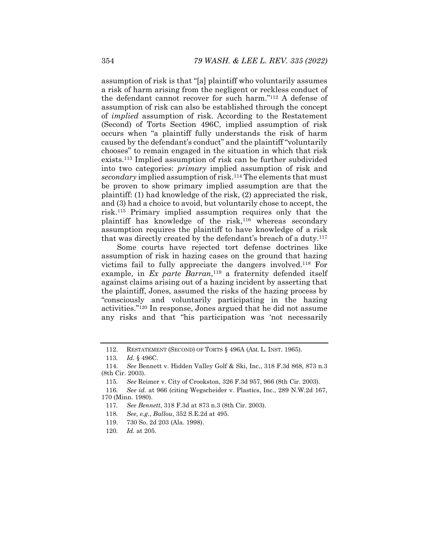assumption of risk is that "[a] plaintiff who voluntarily assumes a risk of harm arising from the negligent or reckless conduct of the defendant cannot recover for such harm."112 A defense of assumption of risk can also be established through the concept of *implied* assumption of risk. According to the Restatement (Second) of Torts Section 496C, implied assumption of risk occurs when "a plaintiff fully understands the risk of harm caused by the defendant's conduct" and the plaintiff "voluntarily chooses" to remain engaged in the situation in which that risk exists.113 Implied assumption of risk can be further subdivided into two categories: *primary* implied assumption of risk and *secondary* implied assumption of risk.114 The elements that must be proven to show primary implied assumption are that the plaintiff: (1) had knowledge of the risk, (2) appreciated the risk, and (3) had a choice to avoid, but voluntarily chose to accept, the risk.115 Primary implied assumption requires only that the plaintiff has knowledge of the risk, $116$  whereas secondary assumption requires the plaintiff to have knowledge of a risk that was directly created by the defendant's breach of a duty.117

Some courts have rejected tort defense doctrines like assumption of risk in hazing cases on the ground that hazing victims fail to fully appreciate the dangers involved.118 For example, in *Ex parte Barran*,<sup>119</sup> a fraternity defended itself against claims arising out of a hazing incident by asserting that the plaintiff, Jones, assumed the risks of the hazing process by "consciously and voluntarily participating in the hazing activities."120 In response, Jones argued that he did not assume any risks and that "his participation was 'not necessarily

 <sup>112.</sup> RESTATEMENT (SECOND) OF TORTS § 496A (AM. L. INST. 1965).

<sup>113</sup>*. Id.* § 496C.

<sup>114</sup>*. See* Bennett v. Hidden Valley Golf & Ski, Inc., 318 F.3d 868, 873 n.3 (8th Cir. 2003).

<sup>115</sup>*. See* Reimer v. City of Crookston, 326 F.3d 957, 966 (8th Cir. 2003).

<sup>116</sup>*. See id.* at 966 (citing Wegscheider v. Plastics, Inc., 289 N.W.2d 167, 170 (Minn. 1980).

<sup>117</sup>*. See Bennett*, 318 F.3d at 873 n.3 (8th Cir. 2003).

<sup>118</sup>*. See, e.g.*, *Ballou*, 352 S.E.2d at 495.

 <sup>119. 730</sup> So. 2d 203 (Ala. 1998).

<sup>120</sup>*. Id.* at 205.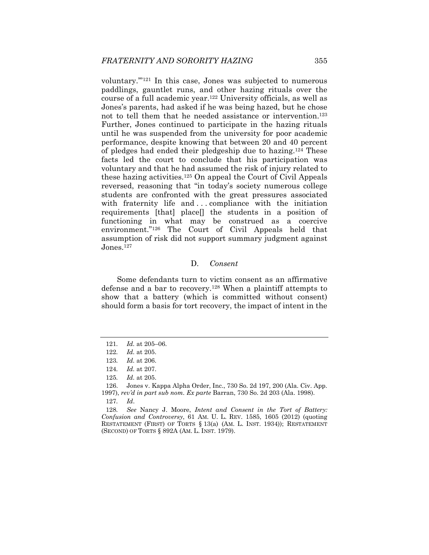voluntary.'"121 In this case, Jones was subjected to numerous paddlings, gauntlet runs, and other hazing rituals over the course of a full academic year.122 University officials, as well as Jones's parents, had asked if he was being hazed, but he chose not to tell them that he needed assistance or intervention.123 Further, Jones continued to participate in the hazing rituals until he was suspended from the university for poor academic performance, despite knowing that between 20 and 40 percent of pledges had ended their pledgeship due to hazing.124 These facts led the court to conclude that his participation was voluntary and that he had assumed the risk of injury related to these hazing activities.125 On appeal the Court of Civil Appeals reversed, reasoning that "in today's society numerous college students are confronted with the great pressures associated with fraternity life and ... compliance with the initiation requirements [that] place[] the students in a position of functioning in what may be construed as a coercive environment."126 The Court of Civil Appeals held that assumption of risk did not support summary judgment against Jones.<sup>127</sup>

## D. *Consent*

Some defendants turn to victim consent as an affirmative defense and a bar to recovery.128 When a plaintiff attempts to show that a battery (which is committed without consent) should form a basis for tort recovery, the impact of intent in the

<sup>121</sup>*. Id.* at 205–06.

<sup>122</sup>*. Id.* at 205.

<sup>123</sup>*. Id.* at 206.

<sup>124</sup>*. Id.* at 207.

<sup>125</sup>*. Id.* at 205.

 <sup>126.</sup> Jones v. Kappa Alpha Order, Inc., 730 So. 2d 197, 200 (Ala. Civ. App. 1997), *rev'd in part sub nom. Ex parte* Barran, 730 So. 2d 203 (Ala. 1998).

<sup>127</sup>*. Id*.

<sup>128</sup>*. See* Nancy J. Moore, *Intent and Consent in the Tort of Battery: Confusion and Controversy*, 61 AM. U. L. REV. 1585, 1605 (2012) (quoting RESTATEMENT (FIRST) OF TORTS § 13(a) (AM. L. INST. 1934)); RESTATEMENT (SECOND) OF TORTS § 892A (AM. L. INST. 1979).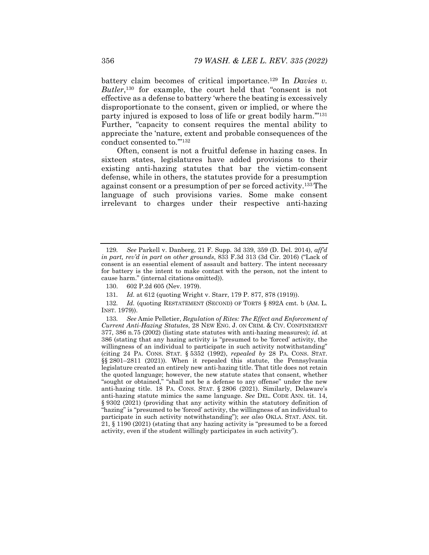battery claim becomes of critical importance.129 In *Davies v. Butler*,130 for example, the court held that "consent is not effective as a defense to battery 'where the beating is excessively disproportionate to the consent, given or implied, or where the party injured is exposed to loss of life or great bodily harm.'"131 Further, "capacity to consent requires the mental ability to appreciate the 'nature, extent and probable consequences of the conduct consented to.'"132

Often, consent is not a fruitful defense in hazing cases. In sixteen states, legislatures have added provisions to their existing anti-hazing statutes that bar the victim-consent defense, while in others, the statutes provide for a presumption against consent or a presumption of per se forced activity.133 The language of such provisions varies. Some make consent irrelevant to charges under their respective anti-hazing

<sup>129</sup>*. See* Parkell v. Danberg, 21 F. Supp. 3d 339, 359 (D. Del. 2014), *aff'd in part, rev'd in part on other grounds*, 833 F.3d 313 (3d Cir. 2016) ("Lack of consent is an essential element of assault and battery. The intent necessary for battery is the intent to make contact with the person, not the intent to cause harm." (internal citations omitted)).

 <sup>130. 602</sup> P.2d 605 (Nev. 1979).

<sup>131</sup>*. Id.* at 612 (quoting Wright v. Starr, 179 P. 877, 878 (1919)).

<sup>132</sup>*. Id.* (quoting RESTATEMENT (SECOND) OF TORTS § 892A cmt. b (AM. L. INST. 1979)).

<sup>133</sup>*. See* Amie Pelletier, *Regulation of Rites: The Effect and Enforcement of Current Anti-Hazing Statutes*, 28 NEW ENG. J. ON CRIM. & CIV. CONFINEMENT 377, 386 n.75 (2002) (listing state statutes with anti-hazing measures); *id.* at 386 (stating that any hazing activity is "presumed to be 'forced' activity, the willingness of an individual to participate in such activity notwithstanding" (citing 24 PA. CONS. STAT. § 5352 (1992), *repealed by* 28 PA. CONS. STAT. §§ 2801–2811 (2021)). When it repealed this statute, the Pennsylvania legislature created an entirely new anti-hazing title. That title does not retain the quoted language; however, the new statute states that consent, whether "sought or obtained," "shall not be a defense to any offense" under the new anti-hazing title. 18 PA. CONS. STAT. § 2806 (2021). Similarly, Delaware's anti-hazing statute mimics the same language. *See* DEL. CODE ANN. tit. 14, § 9302 (2021) (providing that any activity within the statutory definition of "hazing" is "presumed to be 'forced' activity, the willingness of an individual to participate in such activity notwithstanding"); *see also* OKLA. STAT. ANN. tit. 21, § 1190 (2021) (stating that any hazing activity is "presumed to be a forced activity, even if the student willingly participates in such activity").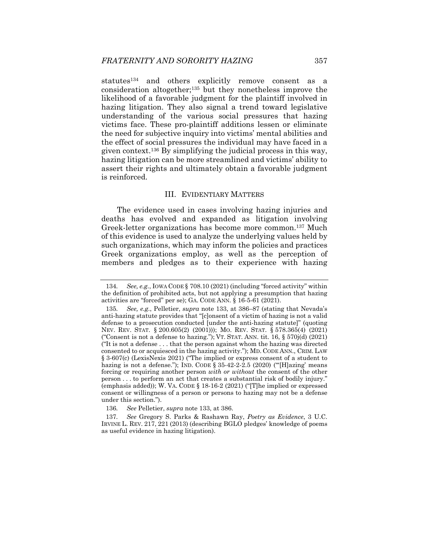statutes134 and others explicitly remove consent as a consideration altogether;135 but they nonetheless improve the likelihood of a favorable judgment for the plaintiff involved in hazing litigation. They also signal a trend toward legislative understanding of the various social pressures that hazing victims face. These pro-plaintiff additions lessen or eliminate the need for subjective inquiry into victims' mental abilities and the effect of social pressures the individual may have faced in a given context.136 By simplifying the judicial process in this way, hazing litigation can be more streamlined and victims' ability to assert their rights and ultimately obtain a favorable judgment is reinforced.

#### III. EVIDENTIARY MATTERS

The evidence used in cases involving hazing injuries and deaths has evolved and expanded as litigation involving Greek-letter organizations has become more common.137 Much of this evidence is used to analyze the underlying values held by such organizations, which may inform the policies and practices Greek organizations employ, as well as the perception of members and pledges as to their experience with hazing

<sup>134</sup>*. See, e.g.*, IOWA CODE § 708.10 (2021) (including "forced activity" within the definition of prohibited acts, but not applying a presumption that hazing activities are "forced" per se); GA. CODE ANN. § 16-5-61 (2021).

<sup>135</sup>*. See, e.g.*, Pelletier, *supra* note 133, at 386–87 (stating that Nevada's anti-hazing statute provides that "[c]onsent of a victim of hazing is not a valid defense to a prosecution conducted [under the anti-hazing statute]" (quoting NEV. REV. STAT. § 200.605(2) (2001))); MO. REV. STAT. § 578.365(4) (2021) ("Consent is not a defense to hazing."); VT. STAT. ANN. tit.  $16, \S 570j(d)$  (2021) ("It is not a defense . . . that the person against whom the hazing was directed consented to or acquiesced in the hazing activity."); MD. CODE ANN., CRIM. LAW § 3-607(c) (LexisNexis 2021) ("The implied or express consent of a student to hazing is not a defense."); IND. CODE  $\S 35-42-2-2.5$  (2020) ("[H]azing' means forcing or requiring another person *with or without* the consent of the other person . . . to perform an act that creates a substantial risk of bodily injury." (emphasis added)); W. VA. CODE § 18-16-2 (2021) ("[T]he implied or expressed consent or willingness of a person or persons to hazing may not be a defense under this section.").

<sup>136</sup>*. See* Pelletier, *supra* note 133, at 386.

<sup>137</sup>*. See* Gregory S. Parks & Rashawn Ray, *Poetry as Evidence*, 3 U.C. IRVINE L. REV. 217, 221 (2013) (describing BGLO pledges' knowledge of poems as useful evidence in hazing litigation).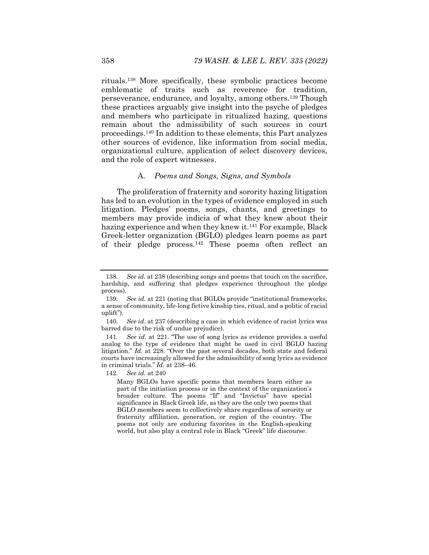rituals.138 More specifically, these symbolic practices become emblematic of traits such as reverence for tradition, perseverance, endurance, and loyalty, among others.139 Though these practices arguably give insight into the psyche of pledges and members who participate in ritualized hazing, questions remain about the admissibility of such sources in court proceedings.140 In addition to these elements, this Part analyzes other sources of evidence, like information from social media, organizational culture, application of select discovery devices, and the role of expert witnesses.

#### A. *Poems and Songs, Signs, and Symbols*

The proliferation of fraternity and sorority hazing litigation has led to an evolution in the types of evidence employed in such litigation. Pledges' poems, songs, chants, and greetings to members may provide indicia of what they knew about their hazing experience and when they knew it.<sup>141</sup> For example, Black Greek-letter organization (BGLO) pledges learn poems as part of their pledge process.142 These poems often reflect an

<sup>138</sup>*. See id.* at 238 (describing songs and poems that touch on the sacrifice, hardship, and suffering that pledges experience throughout the pledge process).

<sup>139</sup>*. See id.* at 221 (noting that BGLOs provide "institutional frameworks, a sense of community, life-long fictive kinship ties, ritual, and a politic of racial uplift").

<sup>140</sup>*. See id*. at 237 (describing a case in which evidence of racist lyrics was barred due to the risk of undue prejudice).

<sup>141</sup>*. See id.* at 221. "The use of song lyrics as evidence provides a useful analog to the type of evidence that might be used in civil BGLO hazing litigation." *Id.* at 228. "Over the past several decades, both state and federal courts have increasingly allowed for the admissibility of song lyrics as evidence in criminal trials." *Id.* at 238–46.

<sup>142</sup>*. See id.* at 240

Many BGLOs have specific poems that members learn either as part of the initiation process or in the context of the organization's broader culture. The poems "If" and "Invictus" have special significance in Black Greek life, as they are the only two poems that BGLO members seem to collectively share regardless of sorority or fraternity affiliation, generation, or region of the country. The poems not only are enduring favorites in the English-speaking world, but also play a central role in Black "Greek" life discourse.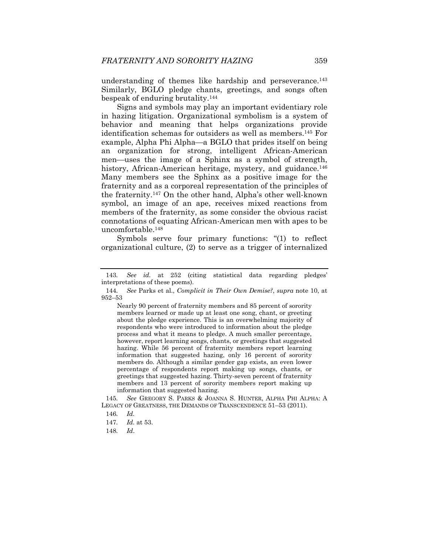understanding of themes like hardship and perseverance.143 Similarly, BGLO pledge chants, greetings, and songs often bespeak of enduring brutality.144

Signs and symbols may play an important evidentiary role in hazing litigation. Organizational symbolism is a system of behavior and meaning that helps organizations provide identification schemas for outsiders as well as members.145 For example, Alpha Phi Alpha—a BGLO that prides itself on being an organization for strong, intelligent African-American men—uses the image of a Sphinx as a symbol of strength, history, African-American heritage, mystery, and guidance.<sup>146</sup> Many members see the Sphinx as a positive image for the fraternity and as a corporeal representation of the principles of the fraternity.147 On the other hand, Alpha's other well-known symbol, an image of an ape, receives mixed reactions from members of the fraternity, as some consider the obvious racist connotations of equating African-American men with apes to be uncomfortable.148

Symbols serve four primary functions: "(1) to reflect organizational culture, (2) to serve as a trigger of internalized

Nearly 90 percent of fraternity members and 85 percent of sorority members learned or made up at least one song, chant, or greeting about the pledge experience. This is an overwhelming majority of respondents who were introduced to information about the pledge process and what it means to pledge. A much smaller percentage, however, report learning songs, chants, or greetings that suggested hazing. While 56 percent of fraternity members report learning information that suggested hazing, only 16 percent of sorority members do. Although a similar gender gap exists, an even lower percentage of respondents report making up songs, chants, or greetings that suggested hazing. Thirty-seven percent of fraternity members and 13 percent of sorority members report making up information that suggested hazing.

145*. See* GREGORY S. PARKS & JOANNA S. HUNTER, ALPHA PHI ALPHA: A LEGACY OF GREATNESS, THE DEMANDS OF TRANSCENDENCE 51–53 (2011).

148*. Id*.

<sup>143</sup>*. See id.* at 252 (citing statistical data regarding pledges' interpretations of these poems).

<sup>144</sup>*. See* Parks et al., *Complicit in Their Own Demise?*, *supra* note 10, at 952–53

<sup>146</sup>*. Id.*

<sup>147</sup>*. Id.* at 53.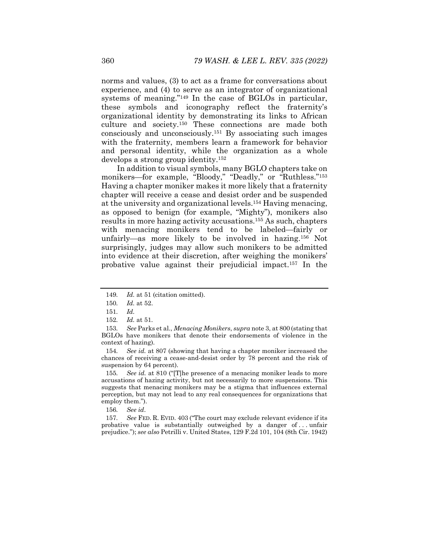norms and values, (3) to act as a frame for conversations about experience, and (4) to serve as an integrator of organizational systems of meaning."149 In the case of BGLOs in particular, these symbols and iconography reflect the fraternity's organizational identity by demonstrating its links to African culture and society.150 These connections are made both consciously and unconsciously.151 By associating such images with the fraternity, members learn a framework for behavior and personal identity, while the organization as a whole develops a strong group identity.152

In addition to visual symbols, many BGLO chapters take on monikers—for example, "Bloody," "Deadly," or "Ruthless."<sup>153</sup> Having a chapter moniker makes it more likely that a fraternity chapter will receive a cease and desist order and be suspended at the university and organizational levels.154 Having menacing, as opposed to benign (for example, "Mighty"), monikers also results in more hazing activity accusations.155 As such, chapters with menacing monikers tend to be labeled—fairly or unfairly—as more likely to be involved in hazing.<sup>156</sup> Not surprisingly, judges may allow such monikers to be admitted into evidence at their discretion, after weighing the monikers' probative value against their prejudicial impact.157 In the

157*. See* FED. R. EVID. 403 ("The court may exclude relevant evidence if its probative value is substantially outweighed by a danger of . . . unfair prejudice."); *see also* Petrilli v. United States, 129 F.2d 101, 104 (8th Cir. 1942)

<sup>149</sup>*. Id.* at 51 (citation omitted).

<sup>150</sup>*. Id.* at 52.

<sup>151</sup>*. Id.*

<sup>152</sup>*. Id.* at 51.

<sup>153</sup>*. See* Parks et al., *Menacing Monikers*, *supra* note 3, at 800 (stating that BGLOs have monikers that denote their endorsements of violence in the context of hazing).

<sup>154</sup>*. See id.* at 807 (showing that having a chapter moniker increased the chances of receiving a cease-and-desist order by 78 percent and the risk of suspension by 64 percent).

<sup>155</sup>*. See id.* at 810 ("[T]he presence of a menacing moniker leads to more accusations of hazing activity, but not necessarily to more suspensions. This suggests that menacing monikers may be a stigma that influences external perception, but may not lead to any real consequences for organizations that employ them.").

<sup>156</sup>*. See id*.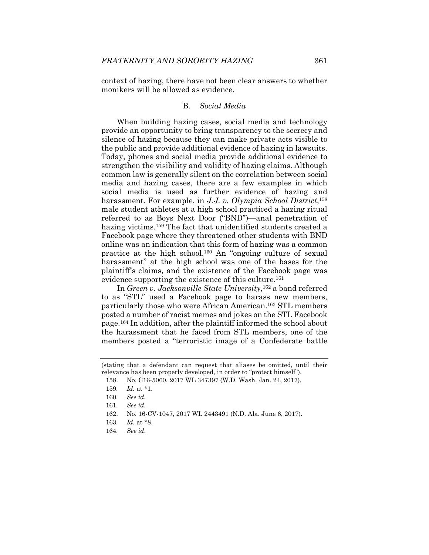context of hazing, there have not been clear answers to whether monikers will be allowed as evidence.

### B. *Social Media*

When building hazing cases, social media and technology provide an opportunity to bring transparency to the secrecy and silence of hazing because they can make private acts visible to the public and provide additional evidence of hazing in lawsuits. Today, phones and social media provide additional evidence to strengthen the visibility and validity of hazing claims. Although common law is generally silent on the correlation between social media and hazing cases, there are a few examples in which social media is used as further evidence of hazing and harassment. For example, in *J.J. v. Olympia School District*,158 male student athletes at a high school practiced a hazing ritual referred to as Boys Next Door ("BND")—anal penetration of hazing victims.<sup>159</sup> The fact that unidentified students created a Facebook page where they threatened other students with BND online was an indication that this form of hazing was a common practice at the high school.160 An "ongoing culture of sexual harassment" at the high school was one of the bases for the plaintiff's claims, and the existence of the Facebook page was evidence supporting the existence of this culture.<sup>161</sup>

In *Green v. Jacksonville State University*,162 a band referred to as "STL" used a Facebook page to harass new members, particularly those who were African American.163 STL members posted a number of racist memes and jokes on the STL Facebook page.164 In addition, after the plaintiff informed the school about the harassment that he faced from STL members, one of the members posted a "terroristic image of a Confederate battle

<sup>(</sup>stating that a defendant can request that aliases be omitted, until their relevance has been properly developed, in order to "protect himself").

 <sup>158.</sup> No. C16-5060, 2017 WL 347397 (W.D. Wash. Jan. 24, 2017).

<sup>159</sup>*. Id.* at \*1.

<sup>160</sup>*. See id.*

<sup>161</sup>*. See id.*

 <sup>162.</sup> No. 16-CV-1047, 2017 WL 2443491 (N.D. Ala. June 6, 2017).

<sup>163</sup>*. Id.* at \*8.

<sup>164</sup>*. See id*.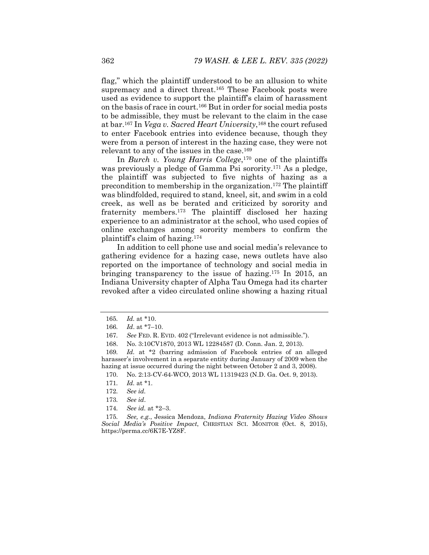flag," which the plaintiff understood to be an allusion to white supremacy and a direct threat.<sup>165</sup> These Facebook posts were used as evidence to support the plaintiff's claim of harassment on the basis of race in court.166 But in order for social media posts to be admissible, they must be relevant to the claim in the case at bar.167 In *Vega v. Sacred Heart University*,168 the court refused to enter Facebook entries into evidence because, though they were from a person of interest in the hazing case, they were not relevant to any of the issues in the case.169

In *Burch v. Young Harris College*,170 one of the plaintiffs was previously a pledge of Gamma Psi sorority.<sup>171</sup> As a pledge, the plaintiff was subjected to five nights of hazing as a precondition to membership in the organization.172 The plaintiff was blindfolded, required to stand, kneel, sit, and swim in a cold creek, as well as be berated and criticized by sorority and fraternity members.173 The plaintiff disclosed her hazing experience to an administrator at the school, who used copies of online exchanges among sorority members to confirm the plaintiff's claim of hazing.174

In addition to cell phone use and social media's relevance to gathering evidence for a hazing case, news outlets have also reported on the importance of technology and social media in bringing transparency to the issue of hazing.175 In 2015, an Indiana University chapter of Alpha Tau Omega had its charter revoked after a video circulated online showing a hazing ritual

173*. See id*.

<sup>165</sup>*. Id.* at \*10.

<sup>166</sup>*. Id*. at \*7–10.

<sup>167</sup>*. See* FED. R. EVID. 402 ("Irrelevant evidence is not admissible.").

 <sup>168.</sup> No. 3:10CV1870, 2013 WL 12284587 (D. Conn. Jan. 2, 2013).

<sup>169</sup>*. Id.* at \*2 (barring admission of Facebook entries of an alleged harasser's involvement in a separate entity during January of 2009 when the hazing at issue occurred during the night between October 2 and 3, 2008).

 <sup>170.</sup> No. 2:13-CV-64-WCO, 2013 WL 11319423 (N.D. Ga. Oct. 9, 2013).

<sup>171</sup>*. Id.* at \*1.

<sup>172</sup>*. See id.*

<sup>174</sup>*. See id.* at \*2–3.

<sup>175</sup>*. See, e.g.*, Jessica Mendoza, *Indiana Fraternity Hazing Video Shows Social Media's Positive Impact*, CHRISTIAN SCI. MONITOR (Oct. 8, 2015), https://perma.cc/6K7E-YZ8F.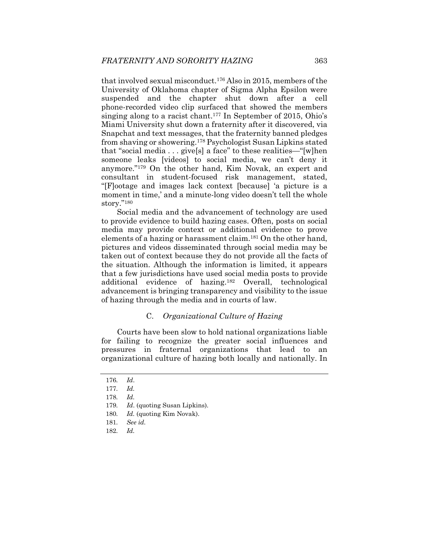that involved sexual misconduct.176 Also in 2015, members of the University of Oklahoma chapter of Sigma Alpha Epsilon were suspended and the chapter shut down after a cell phone-recorded video clip surfaced that showed the members singing along to a racist chant.<sup>177</sup> In September of 2015, Ohio's Miami University shut down a fraternity after it discovered, via Snapchat and text messages, that the fraternity banned pledges from shaving or showering.178 Psychologist Susan Lipkins stated that "social media . . . give[s] a face" to these realities—"[w]hen someone leaks [videos] to social media, we can't deny it anymore."179 On the other hand, Kim Novak, an expert and consultant in student-focused risk management, stated, "[F]ootage and images lack context [because] 'a picture is a moment in time,' and a minute-long video doesn't tell the whole story."180

Social media and the advancement of technology are used to provide evidence to build hazing cases. Often, posts on social media may provide context or additional evidence to prove elements of a hazing or harassment claim.181 On the other hand, pictures and videos disseminated through social media may be taken out of context because they do not provide all the facts of the situation. Although the information is limited, it appears that a few jurisdictions have used social media posts to provide additional evidence of hazing.182 Overall, technological advancement is bringing transparency and visibility to the issue of hazing through the media and in courts of law.

## C. *Organizational Culture of Hazing*

Courts have been slow to hold national organizations liable for failing to recognize the greater social influences and pressures in fraternal organizations that lead to an organizational culture of hazing both locally and nationally. In

<sup>176</sup>*. Id*.

<sup>177</sup>*. Id.*

<sup>178</sup>*. Id.*

<sup>179</sup>*. Id*. (quoting Susan Lipkins).

<sup>180</sup>*. Id.* (quoting Kim Novak).

<sup>181</sup>*. See id.* 

<sup>182</sup>*. Id.*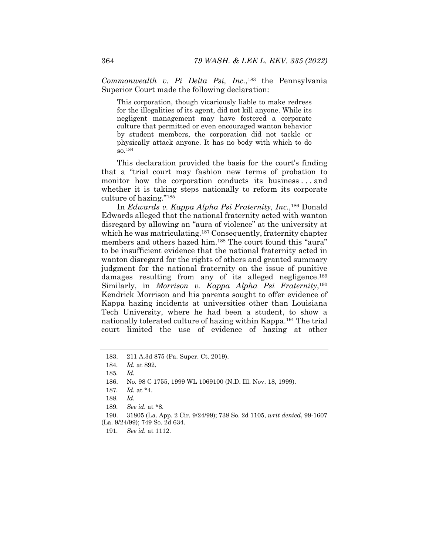*Commonwealth v. Pi Delta Psi, Inc.*,183 the Pennsylvania Superior Court made the following declaration:

This corporation, though vicariously liable to make redress for the illegalities of its agent, did not kill anyone. While its negligent management may have fostered a corporate culture that permitted or even encouraged wanton behavior by student members, the corporation did not tackle or physically attack anyone. It has no body with which to do so.184

This declaration provided the basis for the court's finding that a "trial court may fashion new terms of probation to monitor how the corporation conducts its business . . . and whether it is taking steps nationally to reform its corporate culture of hazing."185

In *Edwards v. Kappa Alpha Psi Fraternity, Inc.*,186 Donald Edwards alleged that the national fraternity acted with wanton disregard by allowing an "aura of violence" at the university at which he was matriculating.187 Consequently, fraternity chapter members and others hazed him.188 The court found this "aura" to be insufficient evidence that the national fraternity acted in wanton disregard for the rights of others and granted summary judgment for the national fraternity on the issue of punitive damages resulting from any of its alleged negligence.<sup>189</sup> Similarly, in *Morrison v. Kappa Alpha Psi Fraternity*,190 Kendrick Morrison and his parents sought to offer evidence of Kappa hazing incidents at universities other than Louisiana Tech University, where he had been a student, to show a nationally tolerated culture of hazing within Kappa.191 The trial court limited the use of evidence of hazing at other

 <sup>183. 211</sup> A.3d 875 (Pa. Super. Ct. 2019).

<sup>184</sup>*. Id.* at 892.

<sup>185</sup>*. Id.*

 <sup>186.</sup> No. 98 C 1755, 1999 WL 1069100 (N.D. Ill. Nov. 18, 1999).

<sup>187</sup>*. Id.* at \*4.

<sup>188</sup>*. Id.*

<sup>189</sup>*. See id.* at \*8.

 <sup>190. 31805 (</sup>La. App. 2 Cir. 9/24/99); 738 So. 2d 1105, *writ denied*, 99-1607 (La. 9/24/99); 749 So. 2d 634.

<sup>191</sup>*. See id.* at 1112.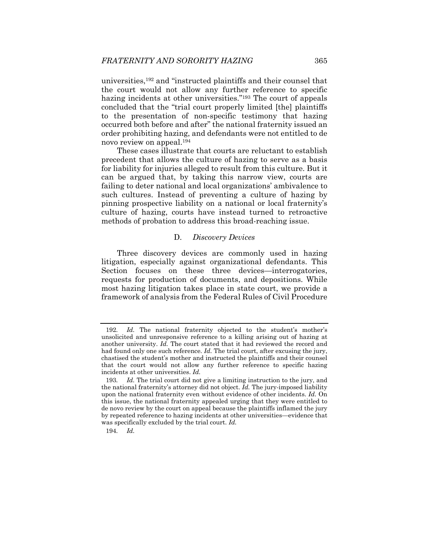universities,192 and "instructed plaintiffs and their counsel that the court would not allow any further reference to specific hazing incidents at other universities."<sup>193</sup> The court of appeals concluded that the "trial court properly limited [the] plaintiffs to the presentation of non-specific testimony that hazing occurred both before and after" the national fraternity issued an order prohibiting hazing, and defendants were not entitled to de novo review on appeal.194

These cases illustrate that courts are reluctant to establish precedent that allows the culture of hazing to serve as a basis for liability for injuries alleged to result from this culture. But it can be argued that, by taking this narrow view, courts are failing to deter national and local organizations' ambivalence to such cultures. Instead of preventing a culture of hazing by pinning prospective liability on a national or local fraternity's culture of hazing, courts have instead turned to retroactive methods of probation to address this broad-reaching issue.

#### D. *Discovery Devices*

Three discovery devices are commonly used in hazing litigation, especially against organizational defendants. This Section focuses on these three devices—interrogatories, requests for production of documents, and depositions. While most hazing litigation takes place in state court, we provide a framework of analysis from the Federal Rules of Civil Procedure

<sup>192</sup>*. Id.* The national fraternity objected to the student's mother's unsolicited and unresponsive reference to a killing arising out of hazing at another university. *Id.* The court stated that it had reviewed the record and had found only one such reference. *Id.* The trial court, after excusing the jury, chastised the student's mother and instructed the plaintiffs and their counsel that the court would not allow any further reference to specific hazing incidents at other universities. *Id.* 

<sup>193</sup>*. Id.* The trial court did not give a limiting instruction to the jury, and the national fraternity's attorney did not object. *Id.* The jury-imposed liability upon the national fraternity even without evidence of other incidents. *Id.* On this issue, the national fraternity appealed urging that they were entitled to de novo review by the court on appeal because the plaintiffs inflamed the jury by repeated reference to hazing incidents at other universities—evidence that was specifically excluded by the trial court. *Id.* 

<sup>194</sup>*. Id.*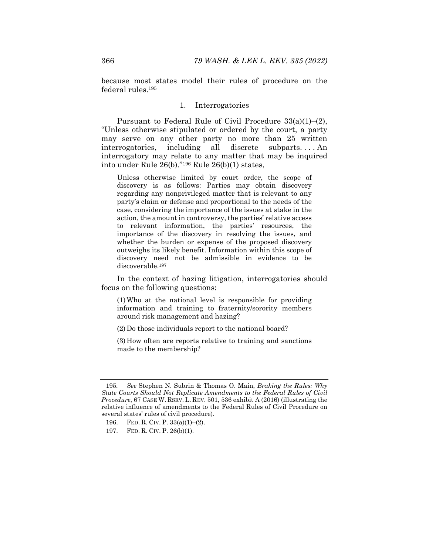because most states model their rules of procedure on the federal rules.195

#### 1. Interrogatories

Pursuant to Federal Rule of Civil Procedure 33(a)(1)–(2), "Unless otherwise stipulated or ordered by the court, a party may serve on any other party no more than 25 written interrogatories, including all discrete subparts. . . . An interrogatory may relate to any matter that may be inquired into under Rule 26(b)."196 Rule 26(b)(1) states,

Unless otherwise limited by court order, the scope of discovery is as follows: Parties may obtain discovery regarding any nonprivileged matter that is relevant to any party's claim or defense and proportional to the needs of the case, considering the importance of the issues at stake in the action, the amount in controversy, the parties' relative access to relevant information, the parties' resources, the importance of the discovery in resolving the issues, and whether the burden or expense of the proposed discovery outweighs its likely benefit. Information within this scope of discovery need not be admissible in evidence to be discoverable.197

In the context of hazing litigation, interrogatories should focus on the following questions:

(1) Who at the national level is responsible for providing information and training to fraternity/sorority members around risk management and hazing?

(2) Do those individuals report to the national board?

(3) How often are reports relative to training and sanctions made to the membership?

<sup>195</sup>*. See* Stephen N. Subrin & Thomas O. Main, *Braking the Rules: Why State Courts Should Not Replicate Amendments to the Federal Rules of Civil Procedure*, 67 CASE W. RSRV. L. REV. 501, 536 exhibit A (2016) (illustrating the relative influence of amendments to the Federal Rules of Civil Procedure on several states' rules of civil procedure).

 <sup>196.</sup> FED. R. CIV. P. 33(a)(1)–(2).

 <sup>197.</sup> FED. R. CIV. P. 26(b)(1).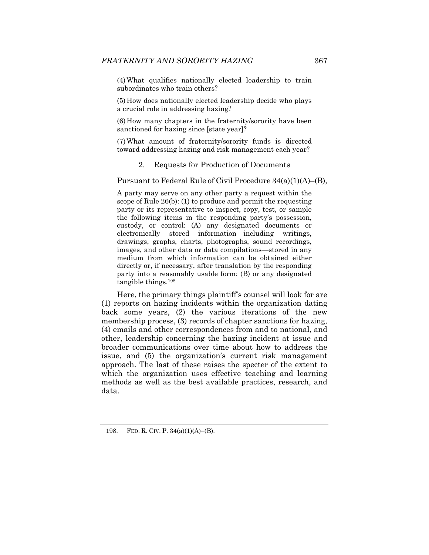(4) What qualifies nationally elected leadership to train subordinates who train others?

(5) How does nationally elected leadership decide who plays a crucial role in addressing hazing?

(6) How many chapters in the fraternity/sorority have been sanctioned for hazing since [state year]?

(7) What amount of fraternity/sorority funds is directed toward addressing hazing and risk management each year?

#### 2. Requests for Production of Documents

Pursuant to Federal Rule of Civil Procedure 34(a)(1)(A)–(B),

A party may serve on any other party a request within the scope of Rule 26(b): (1) to produce and permit the requesting party or its representative to inspect, copy, test, or sample the following items in the responding party's possession, custody, or control: (A) any designated documents or electronically stored information—including writings, drawings, graphs, charts, photographs, sound recordings, images, and other data or data compilations—stored in any medium from which information can be obtained either directly or, if necessary, after translation by the responding party into a reasonably usable form; (B) or any designated tangible things.198

Here, the primary things plaintiff's counsel will look for are (1) reports on hazing incidents within the organization dating back some years, (2) the various iterations of the new membership process, (3) records of chapter sanctions for hazing, (4) emails and other correspondences from and to national, and other, leadership concerning the hazing incident at issue and broader communications over time about how to address the issue, and (5) the organization's current risk management approach. The last of these raises the specter of the extent to which the organization uses effective teaching and learning methods as well as the best available practices, research, and data.

<sup>198.</sup> FED. R. CIV. P.  $34(a)(1)(A)$ –(B).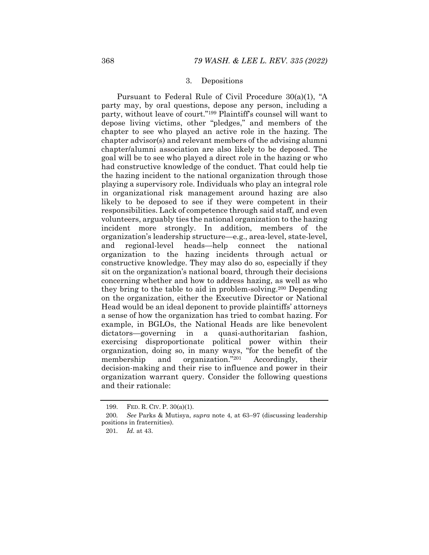#### 3. Depositions

Pursuant to Federal Rule of Civil Procedure 30(a)(1), "A party may, by oral questions, depose any person, including a party, without leave of court."199 Plaintiff's counsel will want to depose living victims, other "pledges," and members of the chapter to see who played an active role in the hazing. The chapter advisor(s) and relevant members of the advising alumni chapter/alumni association are also likely to be deposed. The goal will be to see who played a direct role in the hazing or who had constructive knowledge of the conduct. That could help tie the hazing incident to the national organization through those playing a supervisory role. Individuals who play an integral role in organizational risk management around hazing are also likely to be deposed to see if they were competent in their responsibilities. Lack of competence through said staff, and even volunteers, arguably ties the national organization to the hazing incident more strongly. In addition, members of the organization's leadership structure—e.g., area-level, state-level, and regional-level heads—help connect the national organization to the hazing incidents through actual or constructive knowledge. They may also do so, especially if they sit on the organization's national board, through their decisions concerning whether and how to address hazing, as well as who they bring to the table to aid in problem-solving.200 Depending on the organization, either the Executive Director or National Head would be an ideal deponent to provide plaintiffs' attorneys a sense of how the organization has tried to combat hazing. For example, in BGLOs, the National Heads are like benevolent dictators—governing in a quasi-authoritarian fashion, exercising disproportionate political power within their organization, doing so, in many ways, "for the benefit of the membership and organization."201 Accordingly, their decision-making and their rise to influence and power in their organization warrant query. Consider the following questions and their rationale:

 <sup>199.</sup> FED. R. CIV. P. 30(a)(1).

<sup>200</sup>*. See* Parks & Mutisya, *supra* note 4, at 63–97 (discussing leadership positions in fraternities).

<sup>201</sup>*. Id.* at 43.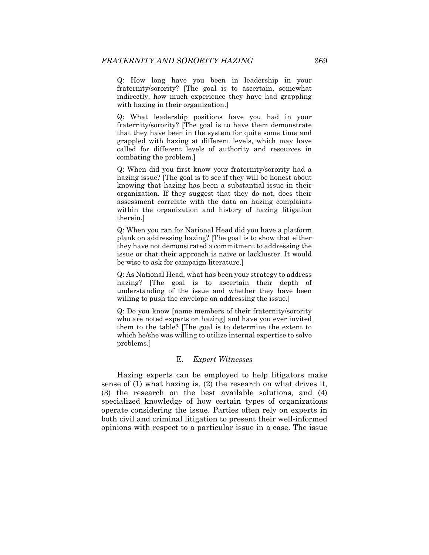Q: How long have you been in leadership in your fraternity/sorority? [The goal is to ascertain, somewhat indirectly, how much experience they have had grappling with hazing in their organization.]

Q: What leadership positions have you had in your fraternity/sorority? [The goal is to have them demonstrate that they have been in the system for quite some time and grappled with hazing at different levels, which may have called for different levels of authority and resources in combating the problem.]

Q: When did you first know your fraternity/sorority had a hazing issue? [The goal is to see if they will be honest about knowing that hazing has been a substantial issue in their organization. If they suggest that they do not, does their assessment correlate with the data on hazing complaints within the organization and history of hazing litigation therein.]

Q: When you ran for National Head did you have a platform plank on addressing hazing? [The goal is to show that either they have not demonstrated a commitment to addressing the issue or that their approach is naïve or lackluster. It would be wise to ask for campaign literature.]

Q: As National Head, what has been your strategy to address hazing? [The goal is to ascertain their depth of understanding of the issue and whether they have been willing to push the envelope on addressing the issue.]

Q: Do you know [name members of their fraternity/sorority who are noted experts on hazing] and have you ever invited them to the table? [The goal is to determine the extent to which he/she was willing to utilize internal expertise to solve problems.]

## E. *Expert Witnesses*

Hazing experts can be employed to help litigators make sense of (1) what hazing is, (2) the research on what drives it, (3) the research on the best available solutions, and (4) specialized knowledge of how certain types of organizations operate considering the issue. Parties often rely on experts in both civil and criminal litigation to present their well-informed opinions with respect to a particular issue in a case. The issue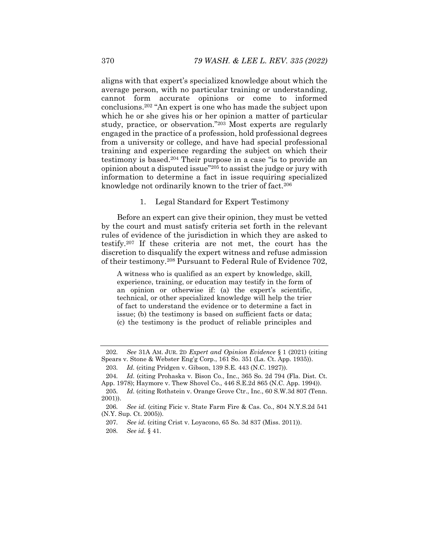aligns with that expert's specialized knowledge about which the average person, with no particular training or understanding, cannot form accurate opinions or come to informed conclusions.202 "An expert is one who has made the subject upon which he or she gives his or her opinion a matter of particular study, practice, or observation."203 Most experts are regularly engaged in the practice of a profession, hold professional degrees from a university or college, and have had special professional training and experience regarding the subject on which their testimony is based.204 Their purpose in a case "is to provide an opinion about a disputed issue"205 to assist the judge or jury with information to determine a fact in issue requiring specialized knowledge not ordinarily known to the trier of fact.206

#### 1. Legal Standard for Expert Testimony

Before an expert can give their opinion, they must be vetted by the court and must satisfy criteria set forth in the relevant rules of evidence of the jurisdiction in which they are asked to testify.207 If these criteria are not met, the court has the discretion to disqualify the expert witness and refuse admission of their testimony.208 Pursuant to Federal Rule of Evidence 702,

A witness who is qualified as an expert by knowledge, skill, experience, training, or education may testify in the form of an opinion or otherwise if: (a) the expert's scientific, technical, or other specialized knowledge will help the trier of fact to understand the evidence or to determine a fact in issue; (b) the testimony is based on sufficient facts or data; (c) the testimony is the product of reliable principles and

<sup>202</sup>*. See* 31A AM. JUR. 2D *Expert and Opinion Evidence* § 1 (2021) (citing Spears v. Stone & Webster Eng'g Corp., 161 So. 351 (La. Ct. App. 1935)).

<sup>203</sup>*. Id.* (citing Pridgen v. Gibson, 139 S.E. 443 (N.C. 1927)).

<sup>204</sup>*. Id.* (citing Prohaska v. Bison Co., Inc., 365 So. 2d 794 (Fla. Dist. Ct. App. 1978); Haymore v. Thew Shovel Co., 446 S.E.2d 865 (N.C. App. 1994)).

<sup>205</sup>*. Id.* (citing Rothstein v. Orange Grove Ctr., Inc., 60 S.W.3d 807 (Tenn. 2001)).

<sup>206</sup>*. See id.* (citing Ficic v. State Farm Fire & Cas. Co., 804 N.Y.S.2d 541 (N.Y. Sup. Ct. 2005)).

<sup>207</sup>*. See id.* (citing Crist v. Loyacono, 65 So. 3d 837 (Miss. 2011)).

<sup>208</sup>*. See id.* § 41.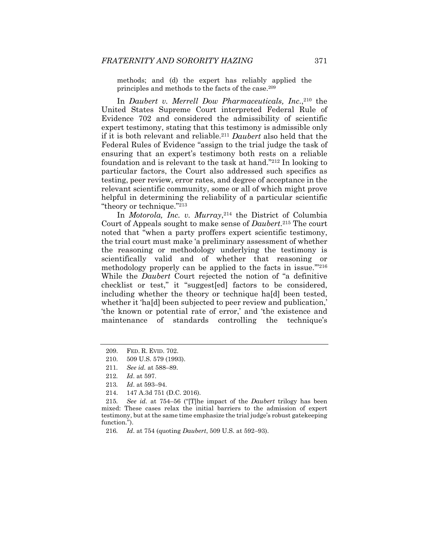methods; and (d) the expert has reliably applied the principles and methods to the facts of the case.209

In *Daubert v. Merrell Dow Pharmaceuticals, Inc.*,<sup>210</sup> the United States Supreme Court interpreted Federal Rule of Evidence 702 and considered the admissibility of scientific expert testimony, stating that this testimony is admissible only if it is both relevant and reliable.211 *Daubert* also held that the Federal Rules of Evidence "assign to the trial judge the task of ensuring that an expert's testimony both rests on a reliable foundation and is relevant to the task at hand."212 In looking to particular factors, the Court also addressed such specifics as testing, peer review, error rates, and degree of acceptance in the relevant scientific community, some or all of which might prove helpful in determining the reliability of a particular scientific "theory or technique."213

In *Motorola, Inc. v. Murray*,<sup>214</sup> the District of Columbia Court of Appeals sought to make sense of *Daubert*.215 The court noted that "when a party proffers expert scientific testimony, the trial court must make 'a preliminary assessment of whether the reasoning or methodology underlying the testimony is scientifically valid and of whether that reasoning or methodology properly can be applied to the facts in issue.'"216 While the *Daubert* Court rejected the notion of "a definitive checklist or test," it "suggest[ed] factors to be considered, including whether the theory or technique ha[d] been tested, whether it 'ha[d] been subjected to peer review and publication,' 'the known or potential rate of error,' and 'the existence and maintenance of standards controlling the technique's

 <sup>209.</sup> FED. R. EVID. 702.

 <sup>210. 509</sup> U.S. 579 (1993).

<sup>211</sup>*. See id.* at 588–89.

<sup>212</sup>*. Id*. at 597.

<sup>213</sup>*. Id*. at 593–94.

 <sup>214. 147</sup> A.3d 751 (D.C. 2016).

<sup>215</sup>*. See id.* at 754–56 ("[T]he impact of the *Daubert* trilogy has been mixed: These cases relax the initial barriers to the admission of expert testimony, but at the same time emphasize the trial judge's robust gatekeeping function.").

<sup>216</sup>*. Id.* at 754 (quoting *Daubert*, 509 U.S. at 592–93).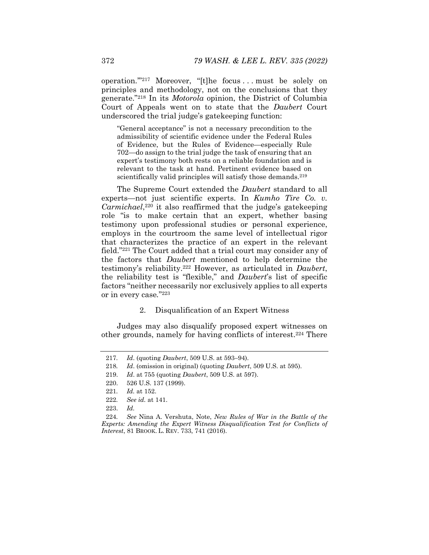operation.'"217 Moreover, "[t]he focus . . . must be solely on principles and methodology, not on the conclusions that they generate."218 In its *Motorola* opinion, the District of Columbia Court of Appeals went on to state that the *Daubert* Court underscored the trial judge's gatekeeping function:

"General acceptance" is not a necessary precondition to the admissibility of scientific evidence under the Federal Rules of Evidence, but the Rules of Evidence—especially Rule 702—do assign to the trial judge the task of ensuring that an expert's testimony both rests on a reliable foundation and is relevant to the task at hand. Pertinent evidence based on scientifically valid principles will satisfy those demands.<sup>219</sup>

The Supreme Court extended the *Daubert* standard to all experts—not just scientific experts. In *Kumho Tire Co. v. Carmichael*,<sup>220</sup> it also reaffirmed that the judge's gatekeeping role "is to make certain that an expert, whether basing testimony upon professional studies or personal experience, employs in the courtroom the same level of intellectual rigor that characterizes the practice of an expert in the relevant field."221 The Court added that a trial court may consider any of the factors that *Daubert* mentioned to help determine the testimony's reliability.222 However, as articulated in *Daubert*, the reliability test is "flexible," and *Daubert*'s list of specific factors "neither necessarily nor exclusively applies to all experts or in every case*.*"223

## 2. Disqualification of an Expert Witness

Judges may also disqualify proposed expert witnesses on other grounds, namely for having conflicts of interest.224 There

<sup>217.</sup> Id. (quoting *Daubert*, 509 U.S. at 593-94).

<sup>218</sup>*. Id*. (omission in original) (quoting *Daubert*, 509 U.S. at 595).

 <sup>219.</sup> *Id*. at 755 (quoting *Daubert*, 509 U.S. at 597).

 <sup>220. 526</sup> U.S. 137 (1999).

<sup>221</sup>*. Id.* at 152.

<sup>222</sup>*. See id.* at 141.

 <sup>223.</sup> *Id.*

<sup>224</sup>*. See* Nina A. Vershuta, Note, *New Rules of War in the Battle of the Experts: Amending the Expert Witness Disqualification Test for Conflicts of Interest*, 81 BROOK. L. REV. 733, 741 (2016).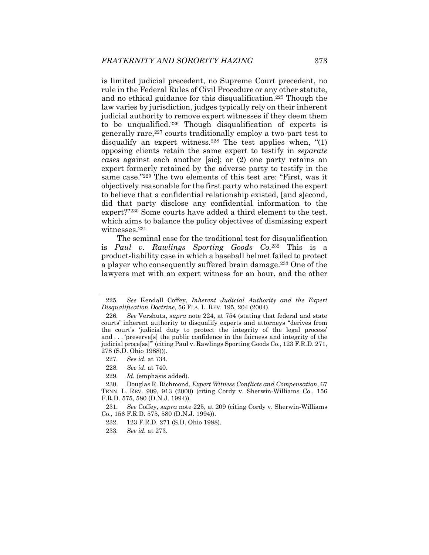is limited judicial precedent, no Supreme Court precedent, no rule in the Federal Rules of Civil Procedure or any other statute, and no ethical guidance for this disqualification.225 Though the law varies by jurisdiction, judges typically rely on their inherent judicial authority to remove expert witnesses if they deem them to be unqualified.226 Though disqualification of experts is generally rare,<sup>227</sup> courts traditionally employ a two-part test to disqualify an expert witness.<sup>228</sup> The test applies when,  $\degree(1)$ opposing clients retain the same expert to testify in *separate cases* against each another [sic]; or (2) one party retains an expert formerly retained by the adverse party to testify in the same case."229 The two elements of this test are: "First, was it objectively reasonable for the first party who retained the expert to believe that a confidential relationship existed, [and s]econd, did that party disclose any confidential information to the expert?"230 Some courts have added a third element to the test, which aims to balance the policy objectives of dismissing expert witnesses.231

The seminal case for the traditional test for disqualification is *Paul v. Rawlings Sporting Goods Co.*<sup>232</sup> This is a product-liability case in which a baseball helmet failed to protect a player who consequently suffered brain damage.233 One of the lawyers met with an expert witness for an hour, and the other

229*. Id.* (emphasis added).

 230. Douglas R. Richmond, *Expert Witness Conflicts and Compensation*, 67 TENN. L. REV. 909, 913 (2000) (citing Cordy v. Sherwin-Williams Co., 156 F.R.D. 575, 580 (D.N.J. 1994)).

<sup>225</sup>*. See* Kendall Coffey, *Inherent Judicial Authority and the Expert Disqualification Doctrine*, 56 FLA. L. REV. 195, 204 (2004).

<sup>226</sup>*. See* Vershuta, *supra* note 224, at 754 (stating that federal and state courts' inherent authority to disqualify experts and attorneys "derives from the court's 'judicial duty to protect the integrity of the legal process' and . . . 'preserve[s] the public confidence in the fairness and integrity of the judicial proce[ss]'" (citing Paul v. Rawlings Sporting Goods Co., 123 F.R.D. 271, 278 (S.D. Ohio 1988))).

<sup>227</sup>*. See id.* at 734.

<sup>228</sup>*. See id.* at 740.

<sup>231</sup>*. See* Coffey, *supra* note 225, at 209 (citing Cordy v. Sherwin-Williams Co., 156 F.R.D. 575, 580 (D.N.J. 1994)).

 <sup>232. 123</sup> F.R.D. 271 (S.D. Ohio 1988).

<sup>233</sup>*. See id.* at 273.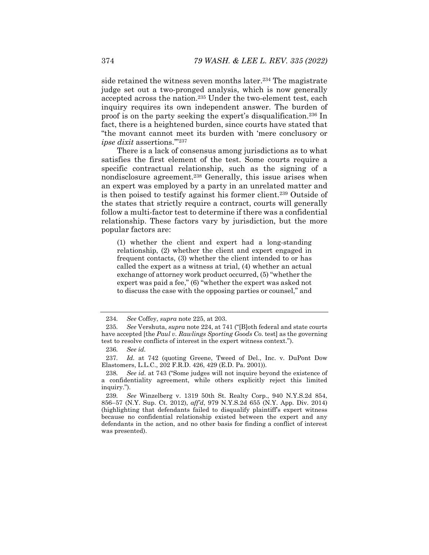side retained the witness seven months later.<sup>234</sup> The magistrate judge set out a two-pronged analysis, which is now generally accepted across the nation.235 Under the two-element test, each inquiry requires its own independent answer. The burden of proof is on the party seeking the expert's disqualification.236 In fact, there is a heightened burden, since courts have stated that "the movant cannot meet its burden with 'mere conclusory or *ipse dixit* assertions.'"237

There is a lack of consensus among jurisdictions as to what satisfies the first element of the test. Some courts require a specific contractual relationship, such as the signing of a nondisclosure agreement.238 Generally, this issue arises when an expert was employed by a party in an unrelated matter and is then poised to testify against his former client.239 Outside of the states that strictly require a contract, courts will generally follow a multi-factor test to determine if there was a confidential relationship. These factors vary by jurisdiction, but the more popular factors are:

(1) whether the client and expert had a long-standing relationship, (2) whether the client and expert engaged in frequent contacts, (3) whether the client intended to or has called the expert as a witness at trial, (4) whether an actual exchange of attorney work product occurred, (5) "whether the expert was paid a fee," (6) "whether the expert was asked not to discuss the case with the opposing parties or counsel," and

<sup>234</sup>*. See* Coffey, *supra* note 225, at 203.

<sup>235</sup>*. See* Vershuta, *supra* note 224, at 741 ("[B]oth federal and state courts have accepted [the *Paul v. Rawlings Sporting Goods Co.* test] as the governing test to resolve conflicts of interest in the expert witness context.").

<sup>236</sup>*. See id.*

<sup>237</sup>*. Id.* at 742 (quoting Greene, Tweed of Del., Inc. v. DuPont Dow Elastomers, L.L.C., 202 F.R.D. 426, 429 (E.D. Pa. 2001)).

<sup>238</sup>*. See id.* at 743 ("Some judges will not inquire beyond the existence of a confidentiality agreement, while others explicitly reject this limited inquiry.").

<sup>239</sup>*. See* Winzelberg v. 1319 50th St. Realty Corp., 940 N.Y.S.2d 854, 856–57 (N.Y. Sup. Ct. 2012), *aff'd*, 979 N.Y.S.2d 655 (N.Y. App. Div. 2014) (highlighting that defendants failed to disqualify plaintiff's expert witness because no confidential relationship existed between the expert and any defendants in the action, and no other basis for finding a conflict of interest was presented).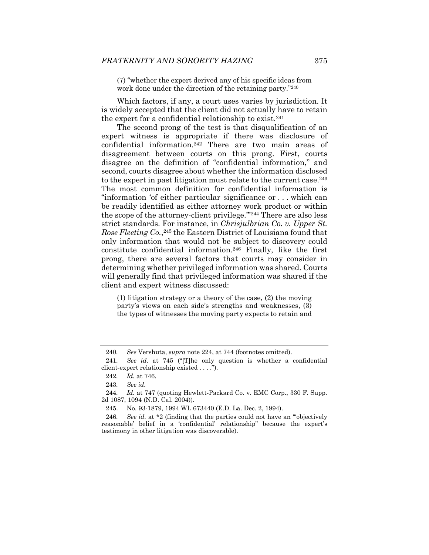(7) "whether the expert derived any of his specific ideas from work done under the direction of the retaining party."<sup>240</sup>

Which factors, if any, a court uses varies by jurisdiction. It is widely accepted that the client did not actually have to retain the expert for a confidential relationship to exist.<sup>241</sup>

The second prong of the test is that disqualification of an expert witness is appropriate if there was disclosure of confidential information.242 There are two main areas of disagreement between courts on this prong. First, courts disagree on the definition of "confidential information," and second, courts disagree about whether the information disclosed to the expert in past litigation must relate to the current case.<sup>243</sup> The most common definition for confidential information is "information 'of either particular significance or . . . which can be readily identified as either attorney work product or within the scope of the attorney-client privilege.'"244 There are also less strict standards. For instance, in *Chrisjulbrian Co. v. Upper St. Rose Fleeting Co.*,245 the Eastern District of Louisiana found that only information that would not be subject to discovery could constitute confidential information.246 Finally, like the first prong, there are several factors that courts may consider in determining whether privileged information was shared. Courts will generally find that privileged information was shared if the client and expert witness discussed:

(1) litigation strategy or a theory of the case, (2) the moving party's views on each side's strengths and weaknesses, (3) the types of witnesses the moving party expects to retain and

<sup>240</sup>*. See* Vershuta, *supra* note 224, at 744 (footnotes omitted).

<sup>241</sup>*. See id.* at 745 ("[T]he only question is whether a confidential client-expert relationship existed . . . .").

<sup>242</sup>*. Id.* at 746.

<sup>243</sup>*. See id.*

<sup>244</sup>*. Id.* at 747 (quoting Hewlett-Packard Co. v. EMC Corp., 330 F. Supp. 2d 1087, 1094 (N.D. Cal. 2004)).

 <sup>245.</sup> No. 93-1879, 1994 WL 673440 (E.D. La. Dec. 2, 1994).

<sup>246</sup>*. See id.* at \*2 (finding that the parties could not have an "'objectively reasonable' belief in a 'confidential' relationship" because the expert's testimony in other litigation was discoverable).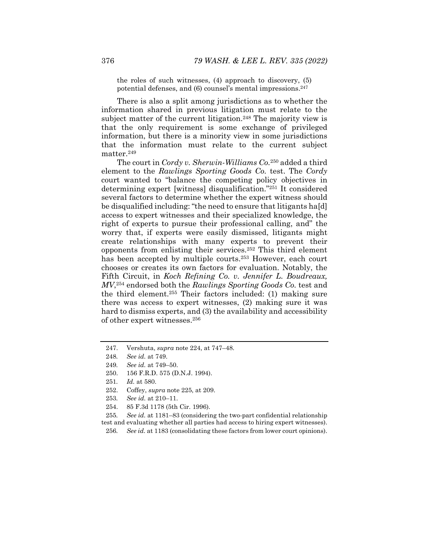the roles of such witnesses, (4) approach to discovery, (5) potential defenses, and (6) counsel's mental impressions.<sup>247</sup>

There is also a split among jurisdictions as to whether the information shared in previous litigation must relate to the subject matter of the current litigation.<sup>248</sup> The majority view is that the only requirement is some exchange of privileged information, but there is a minority view in some jurisdictions that the information must relate to the current subject matter.249

The court in *Cordy v. Sherwin-Williams Co.*250 added a third element to the *Rawlings Sporting Goods Co.* test. The *Cordy*  court wanted to "balance the competing policy objectives in determining expert [witness] disqualification."251 It considered several factors to determine whether the expert witness should be disqualified including: "the need to ensure that litigants ha[d] access to expert witnesses and their specialized knowledge, the right of experts to pursue their professional calling, and" the worry that, if experts were easily dismissed, litigants might create relationships with many experts to prevent their opponents from enlisting their services.252 This third element has been accepted by multiple courts.<sup>253</sup> However, each court chooses or creates its own factors for evaluation. Notably, the Fifth Circuit, in *Koch Refining Co. v. Jennifer L. Boudreaux, MV*,254 endorsed both the *Rawlings Sporting Goods Co.* test and the third element.255 Their factors included: (1) making sure there was access to expert witnesses, (2) making sure it was hard to dismiss experts, and (3) the availability and accessibility of other expert witnesses.256

255*. See id.* at 1181–83 (considering the two-part confidential relationship test and evaluating whether all parties had access to hiring expert witnesses).

 <sup>247.</sup> Vershuta, *supra* note 224, at 747–48.

<sup>248</sup>*. See id.* at 749.

<sup>249</sup>*. See id.* at 749–50.

 <sup>250. 156</sup> F.R.D. 575 (D.N.J. 1994).

<sup>251</sup>*. Id.* at 580.

 <sup>252.</sup> Coffey, *supra* note 225, at 209.

<sup>253</sup>*. See id.* at 210–11.

 <sup>254. 85</sup> F.3d 1178 (5th Cir. 1996).

<sup>256</sup>*. See id.* at 1183 (consolidating these factors from lower court opinions).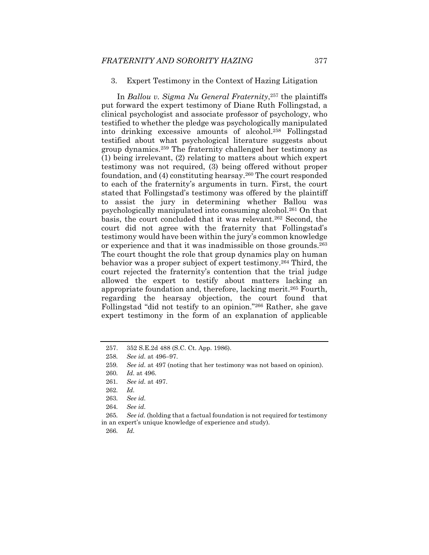#### 3. Expert Testimony in the Context of Hazing Litigation

In *Ballou v. Sigma Nu General Fraternity*,257 the plaintiffs put forward the expert testimony of Diane Ruth Follingstad, a clinical psychologist and associate professor of psychology, who testified to whether the pledge was psychologically manipulated into drinking excessive amounts of alcohol.258 Follingstad testified about what psychological literature suggests about group dynamics.259 The fraternity challenged her testimony as (1) being irrelevant, (2) relating to matters about which expert testimony was not required, (3) being offered without proper foundation, and (4) constituting hearsay.260 The court responded to each of the fraternity's arguments in turn. First, the court stated that Follingstad's testimony was offered by the plaintiff to assist the jury in determining whether Ballou was psychologically manipulated into consuming alcohol.261 On that basis, the court concluded that it was relevant.262 Second, the court did not agree with the fraternity that Follingstad's testimony would have been within the jury's common knowledge or experience and that it was inadmissible on those grounds.263 The court thought the role that group dynamics play on human behavior was a proper subject of expert testimony.<sup>264</sup> Third, the court rejected the fraternity's contention that the trial judge allowed the expert to testify about matters lacking an appropriate foundation and, therefore, lacking merit.265 Fourth, regarding the hearsay objection, the court found that Follingstad "did not testify to an opinion."266 Rather, she gave expert testimony in the form of an explanation of applicable

 <sup>257. 352</sup> S.E.2d 488 (S.C. Ct. App. 1986).

<sup>258</sup>*. See id.* at 496–97.

<sup>259</sup>*. See id.* at 497 (noting that her testimony was not based on opinion).

<sup>260</sup>*. Id.* at 496.

<sup>261</sup>*. See id.* at 497.

<sup>262</sup>*. Id.*

<sup>263</sup>*. See id.*

<sup>264</sup>*. See id.*

<sup>265</sup>*. See id.* (holding that a factual foundation is not required for testimony in an expert's unique knowledge of experience and study).

<sup>266</sup>*. Id.*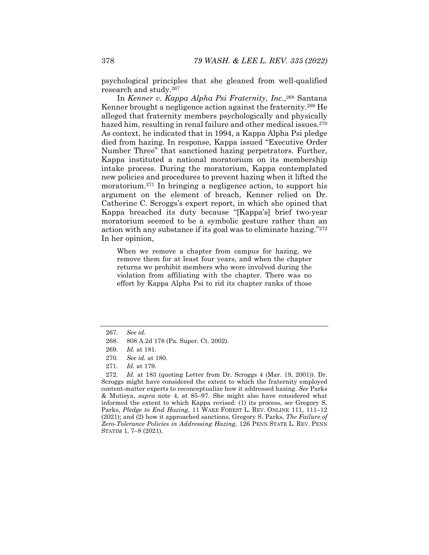psychological principles that she gleaned from well-qualified research and study.267

In *Kenner v. Kappa Alpha Psi Fraternity, Inc.*,268 Santana Kenner brought a negligence action against the fraternity.269 He alleged that fraternity members psychologically and physically hazed him, resulting in renal failure and other medical issues.<sup>270</sup> As context, he indicated that in 1994, a Kappa Alpha Psi pledge died from hazing. In response, Kappa issued "Executive Order Number Three" that sanctioned hazing perpetrators. Further, Kappa instituted a national moratorium on its membership intake process. During the moratorium, Kappa contemplated new policies and procedures to prevent hazing when it lifted the moratorium.271 In bringing a negligence action, to support his argument on the element of breach, Kenner relied on Dr. Catherine C. Scroggs's expert report, in which she opined that Kappa breached its duty because "[Kappa's] brief two-year moratorium seemed to be a symbolic gesture rather than an action with any substance if its goal was to eliminate hazing."272 In her opinion,

When we remove a chapter from campus for hazing, we remove them for at least four years, and when the chapter returns we prohibit members who were involved during the violation from affiliating with the chapter. There was no effort by Kappa Alpha Psi to rid its chapter ranks of those

<sup>267</sup>*. See id.*

 <sup>268. 808</sup> A.2d 178 (Pa. Super. Ct. 2002).

<sup>269</sup>*. Id.* at 181.

<sup>270</sup>*. See id.* at 180.

<sup>271</sup>*. Id.* at 179.

<sup>272</sup>*. Id.* at 183 (quoting Letter from Dr. Scroggs 4 (Mar. 19, 2001)). Dr. Scroggs might have considered the extent to which the fraternity employed content-matter experts to reconceptualize how it addressed hazing. *See* Parks & Mutisya, *supra* note 4, at 85–97. She might also have considered what informed the extent to which Kappa revised: (1) its process, *see* Gregory S. Parks, *Pledge to End Hazing*, 11 WAKE FOREST L. REV. ONLINE 111, 111–12 (2021); and (2) how it approached sanctions, Gregory S. Parks, *The Failure of Zero-Tolerance Policies in Addressing Hazing*, 126 PENN STATE L. REV. PENN STATIM 1, 7–8 (2021).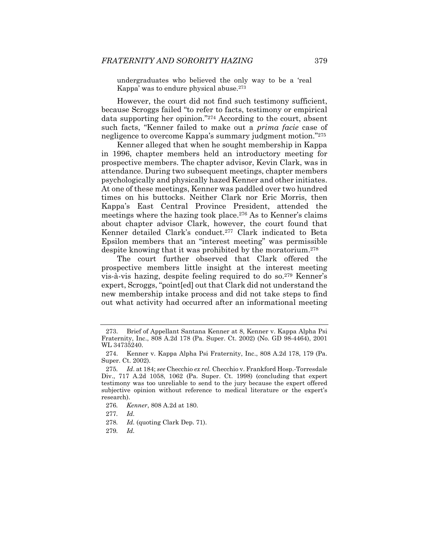undergraduates who believed the only way to be a 'real Kappa' was to endure physical abuse.273

However, the court did not find such testimony sufficient, because Scroggs failed "to refer to facts, testimony or empirical data supporting her opinion."274 According to the court, absent such facts, "Kenner failed to make out a *prima facie* case of negligence to overcome Kappa's summary judgment motion."275

Kenner alleged that when he sought membership in Kappa in 1996, chapter members held an introductory meeting for prospective members. The chapter advisor, Kevin Clark, was in attendance. During two subsequent meetings, chapter members psychologically and physically hazed Kenner and other initiates. At one of these meetings, Kenner was paddled over two hundred times on his buttocks. Neither Clark nor Eric Morris, then Kappa's East Central Province President, attended the meetings where the hazing took place.<sup>276</sup> As to Kenner's claims about chapter advisor Clark, however, the court found that Kenner detailed Clark's conduct.277 Clark indicated to Beta Epsilon members that an "interest meeting" was permissible despite knowing that it was prohibited by the moratorium.278

The court further observed that Clark offered the prospective members little insight at the interest meeting vis-à-vis hazing, despite feeling required to do so.279 Kenner's expert, Scroggs, "point[ed] out that Clark did not understand the new membership intake process and did not take steps to find out what activity had occurred after an informational meeting

276*. Kenner*, 808 A.2d at 180.

277*. Id.*

278*. Id.* (quoting Clark Dep. 71).

279*. Id.*

 <sup>273.</sup> Brief of Appellant Santana Kenner at 8, Kenner v. Kappa Alpha Psi Fraternity, Inc., 808 A.2d 178 (Pa. Super. Ct. 2002) (No. GD 98-4464), 2001 WL 34735240.

 <sup>274.</sup> Kenner v. Kappa Alpha Psi Fraternity, Inc., 808 A.2d 178, 179 (Pa. Super. Ct. 2002).

<sup>275</sup>*. Id*. at 184; *see* Checchio *ex rel.* Checchio v. Frankford Hosp.-Torresdale Div., 717 A.2d 1058, 1062 (Pa. Super. Ct. 1998) (concluding that expert testimony was too unreliable to send to the jury because the expert offered subjective opinion without reference to medical literature or the expert's research).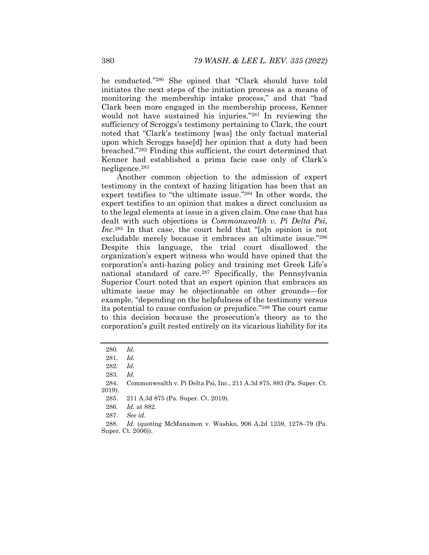he conducted."280 She opined that "Clark should have told initiates the next steps of the initiation process as a means of monitoring the membership intake process," and that "had Clark been more engaged in the membership process, Kenner would not have sustained his injuries."281 In reviewing the sufficiency of Scroggs's testimony pertaining to Clark, the court noted that "Clark's testimony [was] the only factual material upon which Scroggs base[d] her opinion that a duty had been breached."282 Finding this sufficient, the court determined that Kenner had established a prima facie case only of Clark's negligence.283

Another common objection to the admission of expert testimony in the context of hazing litigation has been that an expert testifies to "the ultimate issue."284 In other words, the expert testifies to an opinion that makes a direct conclusion as to the legal elements at issue in a given claim. One case that has dealt with such objections is *Commonwealth v. Pi Delta Psi, Inc.*285 In that case, the court held that "[a]n opinion is not excludable merely because it embraces an ultimate issue."286 Despite this language, the trial court disallowed the organization's expert witness who would have opined that the corporation's anti-hazing policy and training met Greek Life's national standard of care.287 Specifically, the Pennsylvania Superior Court noted that an expert opinion that embraces an ultimate issue may be objectionable on other grounds—for example, "depending on the helpfulness of the testimony versus its potential to cause confusion or prejudice."288 The court came to this decision because the prosecution's theory as to the corporation's guilt rested entirely on its vicarious liability for its

<sup>280</sup>*. Id*.

<sup>281</sup>*. Id.*

<sup>282</sup>*. Id.*

<sup>283</sup>*. Id.*

 <sup>284.</sup> Commonwealth v. Pi Delta Psi, Inc., 211 A.3d 875, 883 (Pa. Super. Ct. 2019).

 <sup>285. 211</sup> A.3d 875 (Pa. Super. Ct. 2019).

<sup>286</sup>*. Id.* at 882.

<sup>287</sup>*. See id.*

<sup>288</sup>*. Id.* (quoting McManamon v. Washko, 906 A.2d 1259, 1278–79 (Pa. Super. Ct. 2006)).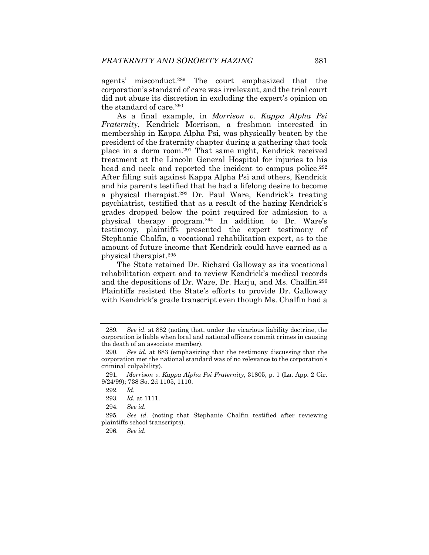agents' misconduct.289 The court emphasized that the corporation's standard of care was irrelevant, and the trial court did not abuse its discretion in excluding the expert's opinion on the standard of care.290

As a final example, in *Morrison v. Kappa Alpha Psi Fraternity*, Kendrick Morrison, a freshman interested in membership in Kappa Alpha Psi, was physically beaten by the president of the fraternity chapter during a gathering that took place in a dorm room.291 That same night, Kendrick received treatment at the Lincoln General Hospital for injuries to his head and neck and reported the incident to campus police.<sup>292</sup> After filing suit against Kappa Alpha Psi and others, Kendrick and his parents testified that he had a lifelong desire to become a physical therapist.293 Dr. Paul Ware, Kendrick's treating psychiatrist, testified that as a result of the hazing Kendrick's grades dropped below the point required for admission to a physical therapy program.294 In addition to Dr. Ware's testimony, plaintiffs presented the expert testimony of Stephanie Chalfin, a vocational rehabilitation expert, as to the amount of future income that Kendrick could have earned as a physical therapist.295

The State retained Dr. Richard Galloway as its vocational rehabilitation expert and to review Kendrick's medical records and the depositions of Dr. Ware, Dr. Harju, and Ms. Chalfin.296 Plaintiffs resisted the State's efforts to provide Dr. Galloway with Kendrick's grade transcript even though Ms. Chalfin had a

<sup>289</sup>*. See id.* at 882 (noting that, under the vicarious liability doctrine, the corporation is liable when local and national officers commit crimes in causing the death of an associate member).

<sup>290</sup>*. See id.* at 883 (emphasizing that the testimony discussing that the corporation met the national standard was of no relevance to the corporation's criminal culpability).

<sup>291</sup>*. Morrison v. Kappa Alpha Psi Fraternity*, 31805, p. 1 (La. App. 2 Cir. 9/24/99); 738 So. 2d 1105, 1110.

<sup>292</sup>*. Id.*

<sup>293</sup>*. Id.* at 1111.

<sup>294</sup>*. See id.*

<sup>295</sup>*. See id.* (noting that Stephanie Chalfin testified after reviewing plaintiffs school transcripts).

<sup>296</sup>*. See id.*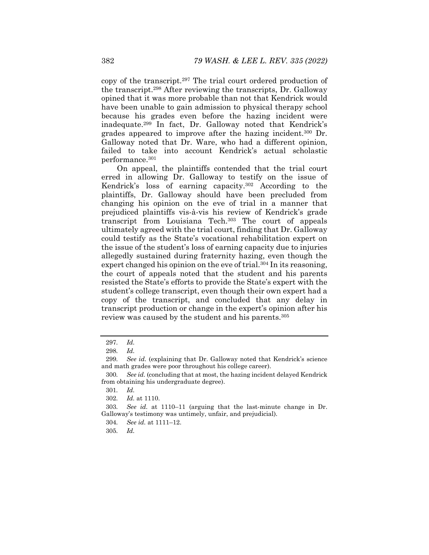copy of the transcript.297 The trial court ordered production of the transcript.298 After reviewing the transcripts, Dr. Galloway opined that it was more probable than not that Kendrick would have been unable to gain admission to physical therapy school because his grades even before the hazing incident were inadequate.299 In fact, Dr. Galloway noted that Kendrick's grades appeared to improve after the hazing incident.300 Dr. Galloway noted that Dr. Ware, who had a different opinion, failed to take into account Kendrick's actual scholastic performance.301

On appeal, the plaintiffs contended that the trial court erred in allowing Dr. Galloway to testify on the issue of Kendrick's loss of earning capacity.302 According to the plaintiffs, Dr. Galloway should have been precluded from changing his opinion on the eve of trial in a manner that prejudiced plaintiffs vis-à-vis his review of Kendrick's grade transcript from Louisiana Tech.303 The court of appeals ultimately agreed with the trial court, finding that Dr. Galloway could testify as the State's vocational rehabilitation expert on the issue of the student's loss of earning capacity due to injuries allegedly sustained during fraternity hazing, even though the expert changed his opinion on the eve of trial.<sup>304</sup> In its reasoning, the court of appeals noted that the student and his parents resisted the State's efforts to provide the State's expert with the student's college transcript, even though their own expert had a copy of the transcript, and concluded that any delay in transcript production or change in the expert's opinion after his review was caused by the student and his parents.305

<sup>297</sup>*. Id.*

<sup>298</sup>*. Id.*

<sup>299</sup>*. See id.* (explaining that Dr. Galloway noted that Kendrick's science and math grades were poor throughout his college career).

<sup>300</sup>*. See id.* (concluding that at most, the hazing incident delayed Kendrick from obtaining his undergraduate degree).

<sup>301</sup>*. Id.*

<sup>302</sup>*. Id.* at 1110.

<sup>303</sup>*. See id.* at 1110–11 (arguing that the last-minute change in Dr. Galloway's testimony was untimely, unfair, and prejudicial).

<sup>304</sup>*. See id.* at 1111–12.

<sup>305</sup>*. Id.*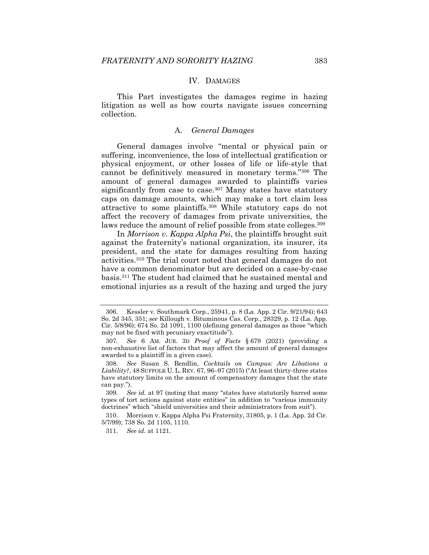### IV. DAMAGES

This Part investigates the damages regime in hazing litigation as well as how courts navigate issues concerning collection.

## A. *General Damages*

General damages involve "mental or physical pain or suffering, inconvenience, the loss of intellectual gratification or physical enjoyment, or other losses of life or life-style that cannot be definitively measured in monetary terms."306 The amount of general damages awarded to plaintiffs varies significantly from case to case.<sup>307</sup> Many states have statutory caps on damage amounts, which may make a tort claim less attractive to some plaintiffs.308 While statutory caps do not affect the recovery of damages from private universities, the laws reduce the amount of relief possible from state colleges.<sup>309</sup>

In *Morrison v. Kappa Alpha Psi*, the plaintiffs brought suit against the fraternity's national organization, its insurer, its president, and the state for damages resulting from hazing activities.310 The trial court noted that general damages do not have a common denominator but are decided on a case-by-case basis.311 The student had claimed that he sustained mental and emotional injuries as a result of the hazing and urged the jury

311*. See id.* at 1121.

 <sup>306.</sup> Kessler v. Southmark Corp., 25941, p. 8 (La. App. 2 Cir. 9/21/94); 643 So. 2d 345, 351; *see* Killough v. Bituminous Cas. Corp., 28329, p. 12 (La. App. Cir.  $5/8/96$ ;  $674$  So.  $2d$   $1091$ ,  $1100$  (defining general damages as those "which may not be fixed with pecuniary exactitude").

<sup>307</sup>*. See* 6 AM. JUR. 3D *Proof of Facts* § 679 (2021) (providing a non-exhaustive list of factors that may affect the amount of general damages awarded to a plaintiff in a given case).

<sup>308</sup>*. See* Susan S. Bendlin, *Cocktails on Campus: Are Libations a Liability?*, 48 SUFFOLK U. L. REV. 67, 96–97 (2015) ("At least thirty-three states have statutory limits on the amount of compensatory damages that the state can pay.").

<sup>309</sup>*. See id.* at 97 (noting that many "states have statutorily barred some types of tort actions against state entities" in addition to "various immunity doctrines" which "shield universities and their administrators from suit").

 <sup>310.</sup> Morrison v. Kappa Alpha Psi Fraternity, 31805, p. 1 (La. App. 2d Cir. 5/7/99); 738 So. 2d 1105, 1110.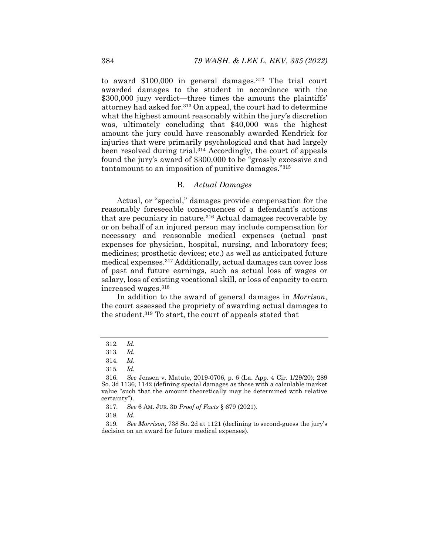to award  $$100,000$  in general damages.<sup>312</sup> The trial court awarded damages to the student in accordance with the \$300,000 jury verdict—three times the amount the plaintiffs' attorney had asked for.313 On appeal, the court had to determine what the highest amount reasonably within the jury's discretion was, ultimately concluding that \$40,000 was the highest amount the jury could have reasonably awarded Kendrick for injuries that were primarily psychological and that had largely been resolved during trial.314 Accordingly, the court of appeals found the jury's award of \$300,000 to be "grossly excessive and tantamount to an imposition of punitive damages."315

## B. *Actual Damages*

Actual, or "special," damages provide compensation for the reasonably foreseeable consequences of a defendant's actions that are pecuniary in nature.<sup>316</sup> Actual damages recoverable by or on behalf of an injured person may include compensation for necessary and reasonable medical expenses (actual past expenses for physician, hospital, nursing, and laboratory fees; medicines; prosthetic devices; etc.) as well as anticipated future medical expenses.317 Additionally, actual damages can cover loss of past and future earnings, such as actual loss of wages or salary, loss of existing vocational skill, or loss of capacity to earn increased wages.318

In addition to the award of general damages in *Morrison*, the court assessed the propriety of awarding actual damages to the student.319 To start, the court of appeals stated that

317*. See* 6 AM. JUR. 3D *Proof of Facts* § 679 (2021).

318*. Id.*

319*. See Morrison,* 738 So. 2d at 1121 (declining to second-guess the jury's decision on an award for future medical expenses).

<sup>312</sup>*. Id.*

<sup>313</sup>*. Id.*

<sup>314</sup>*. Id.*

<sup>315</sup>*. Id.*

<sup>316</sup>*. See* Jensen v. Matute, 2019-0706, p. 6 (La. App. 4 Cir. 1/29/20); 289 So. 3d 1136, 1142 (defining special damages as those with a calculable market value "such that the amount theoretically may be determined with relative certainty").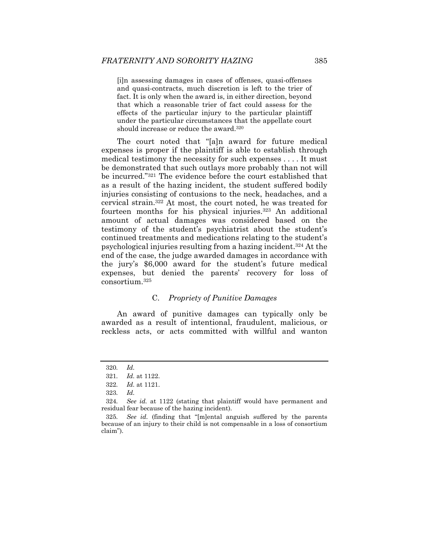[i]n assessing damages in cases of offenses, quasi-offenses and quasi-contracts, much discretion is left to the trier of fact. It is only when the award is, in either direction, beyond that which a reasonable trier of fact could assess for the effects of the particular injury to the particular plaintiff under the particular circumstances that the appellate court should increase or reduce the award.320

The court noted that "[a]n award for future medical expenses is proper if the plaintiff is able to establish through medical testimony the necessity for such expenses . . . . It must be demonstrated that such outlays more probably than not will be incurred."321 The evidence before the court established that as a result of the hazing incident, the student suffered bodily injuries consisting of contusions to the neck, headaches, and a cervical strain.322 At most, the court noted, he was treated for fourteen months for his physical injuries.323 An additional amount of actual damages was considered based on the testimony of the student's psychiatrist about the student's continued treatments and medications relating to the student's psychological injuries resulting from a hazing incident.324 At the end of the case, the judge awarded damages in accordance with the jury's \$6,000 award for the student's future medical expenses, but denied the parents' recovery for loss of consortium.325

## C. *Propriety of Punitive Damages*

An award of punitive damages can typically only be awarded as a result of intentional, fraudulent, malicious, or reckless acts, or acts committed with willful and wanton

<sup>320</sup>*. Id.*

<sup>321</sup>*. Id.* at 1122.

<sup>322</sup>*. Id.* at 1121.

<sup>323</sup>*. Id.*

<sup>324</sup>*. See id.* at 1122 (stating that plaintiff would have permanent and residual fear because of the hazing incident).

<sup>325</sup>*. See id.* (finding that "[m]ental anguish suffered by the parents because of an injury to their child is not compensable in a loss of consortium claim").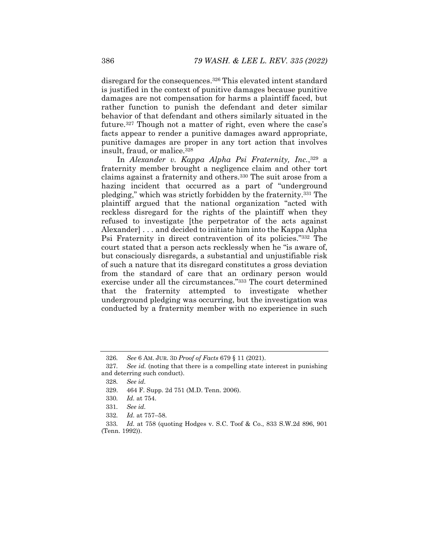disregard for the consequences.<sup>326</sup> This elevated intent standard is justified in the context of punitive damages because punitive damages are not compensation for harms a plaintiff faced, but rather function to punish the defendant and deter similar behavior of that defendant and others similarly situated in the future.327 Though not a matter of right, even where the case's facts appear to render a punitive damages award appropriate, punitive damages are proper in any tort action that involves insult, fraud, or malice.328

In *Alexander v. Kappa Alpha Psi Fraternity, Inc.*,329 a fraternity member brought a negligence claim and other tort claims against a fraternity and others.330 The suit arose from a hazing incident that occurred as a part of "underground pledging," which was strictly forbidden by the fraternity.331 The plaintiff argued that the national organization "acted with reckless disregard for the rights of the plaintiff when they refused to investigate [the perpetrator of the acts against Alexander] . . . and decided to initiate him into the Kappa Alpha Psi Fraternity in direct contravention of its policies."332 The court stated that a person acts recklessly when he "is aware of, but consciously disregards, a substantial and unjustifiable risk of such a nature that its disregard constitutes a gross deviation from the standard of care that an ordinary person would exercise under all the circumstances."333 The court determined that the fraternity attempted to investigate whether underground pledging was occurring, but the investigation was conducted by a fraternity member with no experience in such

<sup>326</sup>*. See* 6 AM. JUR. 3D *Proof of Facts* 679 § 11 (2021).

<sup>327</sup>*. See id.* (noting that there is a compelling state interest in punishing and deterring such conduct).

<sup>328</sup>*. See id.*

 <sup>329. 464</sup> F. Supp. 2d 751 (M.D. Tenn. 2006).

<sup>330</sup>*. Id.* at 754.

<sup>331</sup>*. See id.* 

<sup>332</sup>*. Id.* at 757–58.

<sup>333</sup>*. Id.* at 758 (quoting Hodges v. S.C. Toof & Co., 833 S.W.2d 896, 901 (Tenn. 1992)).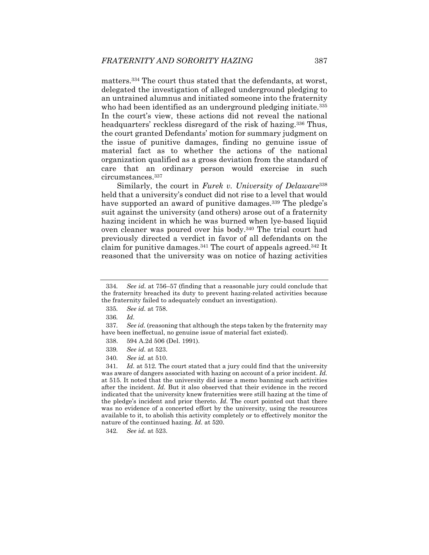matters.334 The court thus stated that the defendants, at worst, delegated the investigation of alleged underground pledging to an untrained alumnus and initiated someone into the fraternity who had been identified as an underground pledging initiate.<sup>335</sup> In the court's view, these actions did not reveal the national headquarters' reckless disregard of the risk of hazing.<sup>336</sup> Thus, the court granted Defendants' motion for summary judgment on the issue of punitive damages, finding no genuine issue of material fact as to whether the actions of the national organization qualified as a gross deviation from the standard of care that an ordinary person would exercise in such circumstances.337

Similarly, the court in *Furek v. University of Delaware*<sup>338</sup> held that a university's conduct did not rise to a level that would have supported an award of punitive damages.<sup>339</sup> The pledge's suit against the university (and others) arose out of a fraternity hazing incident in which he was burned when lye-based liquid oven cleaner was poured over his body.340 The trial court had previously directed a verdict in favor of all defendants on the claim for punitive damages.<sup>341</sup> The court of appeals agreed.<sup>342</sup> It reasoned that the university was on notice of hazing activities

- 339*. See id.* at 523.
- 340*. See id.* at 510.

341*. Id.* at 512*.* The court stated that a jury could find that the university was aware of dangers associated with hazing on account of a prior incident. *Id.*  at 515. It noted that the university did issue a memo banning such activities after the incident. *Id.* But it also observed that their evidence in the record indicated that the university knew fraternities were still hazing at the time of the pledge's incident and prior thereto. *Id.* The court pointed out that there was no evidence of a concerted effort by the university, using the resources available to it, to abolish this activity completely or to effectively monitor the nature of the continued hazing. *Id.* at 520.

342*. See id.* at 523.

<sup>334</sup>*. See id.* at 756–57 (finding that a reasonable jury could conclude that the fraternity breached its duty to prevent hazing-related activities because the fraternity failed to adequately conduct an investigation).

<sup>335</sup>*. See id.* at 758.

<sup>336</sup>*. Id.*

<sup>337</sup>*. See id.* (reasoning that although the steps taken by the fraternity may have been ineffectual, no genuine issue of material fact existed).

 <sup>338. 594</sup> A.2d 506 (Del. 1991).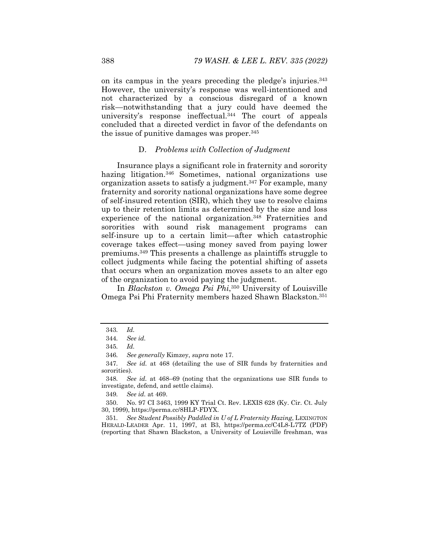on its campus in the years preceding the pledge's injuries.343 However, the university's response was well-intentioned and not characterized by a conscious disregard of a known risk—notwithstanding that a jury could have deemed the university's response ineffectual.344 The court of appeals concluded that a directed verdict in favor of the defendants on the issue of punitive damages was proper.345

## D. *Problems with Collection of Judgment*

Insurance plays a significant role in fraternity and sorority hazing litigation.<sup>346</sup> Sometimes, national organizations use organization assets to satisfy a judgment.347 For example, many fraternity and sorority national organizations have some degree of self-insured retention (SIR), which they use to resolve claims up to their retention limits as determined by the size and loss experience of the national organization.<sup>348</sup> Fraternities and sororities with sound risk management programs can self-insure up to a certain limit—after which catastrophic coverage takes effect—using money saved from paying lower premiums.349 This presents a challenge as plaintiffs struggle to collect judgments while facing the potential shifting of assets that occurs when an organization moves assets to an alter ego of the organization to avoid paying the judgment.

In *Blackston v. Omega Psi Phi*,350 University of Louisville Omega Psi Phi Fraternity members hazed Shawn Blackston.351

349*. See id.* at 469.

 350. No. 97 CI 3463, 1999 KY Trial Ct. Rev. LEXIS 628 (Ky. Cir. Ct. July 30, 1999), https://perma.cc/8HLP-FDYX.

351*. See Student Possibly Paddled in U of L Fraternity Hazing*, LEXINGTON HERALD-LEADER Apr. 11, 1997, at B3, https://perma.cc/C4L8-L7TZ (PDF) (reporting that Shawn Blackston, a University of Louisville freshman, was

<sup>343</sup>*. Id.* 

<sup>344</sup>*. See id.*

<sup>345</sup>*. Id.* 

<sup>346</sup>*. See generally* Kimzey, *supra* note 17.

<sup>347</sup>*. See id.* at 468 (detailing the use of SIR funds by fraternities and sororities).

<sup>348</sup>*. See id.* at 468–69 (noting that the organizations use SIR funds to investigate, defend, and settle claims).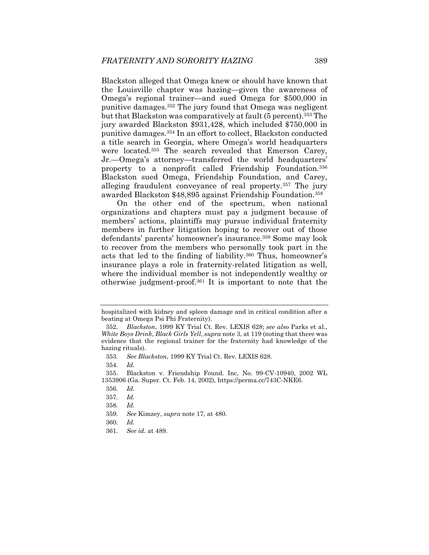Blackston alleged that Omega knew or should have known that the Louisville chapter was hazing—given the awareness of Omega's regional trainer—and sued Omega for \$500,000 in punitive damages.352 The jury found that Omega was negligent but that Blackston was comparatively at fault (5 percent).353 The jury awarded Blackston \$931,428, which included \$750,000 in punitive damages.354 In an effort to collect, Blackston conducted a title search in Georgia, where Omega's world headquarters were located.355 The search revealed that Emerson Carey, Jr.—Omega's attorney—transferred the world headquarters' property to a nonprofit called Friendship Foundation.356 Blackston sued Omega, Friendship Foundation, and Carey, alleging fraudulent conveyance of real property.357 The jury awarded Blackston \$48,895 against Friendship Foundation.358

On the other end of the spectrum, when national organizations and chapters must pay a judgment because of members' actions, plaintiffs may pursue individual fraternity members in further litigation hoping to recover out of those defendants' parents' homeowner's insurance.359 Some may look to recover from the members who personally took part in the acts that led to the finding of liability.360 Thus, homeowner's insurance plays a role in fraternity-related litigation as well, where the individual member is not independently wealthy or otherwise judgment-proof.361 It is important to note that the

354*. Id.*

hospitalized with kidney and spleen damage and in critical condition after a beating at Omega Psi Phi Fraternity).

<sup>352</sup>*. Blackston*, 1999 KY Trial Ct. Rev. LEXIS 628; *see also* Parks et al., *White Boys Drink*, *Black Girls Yell*, *supra* note 3, at 119 (noting that there was evidence that the regional trainer for the fraternity had knowledge of the hazing rituals).

<sup>353</sup>*. See Blackston*, 1999 KY Trial Ct. Rev. LEXIS 628.

 <sup>355.</sup> Blackston v. Friendship Found. Inc, No. 99-CV-10940, 2002 WL 1353906 (Ga. Super. Ct. Feb. 14, 2002), https://perma.cc/743C-NKE6.

<sup>356</sup>*. Id.*

<sup>357</sup>*. Id.* 

<sup>358</sup>*. Id.*

<sup>359</sup>*. See* Kimzey, *supra* note 17, at 480.

<sup>360</sup>*. Id.*

<sup>361</sup>*. See id.* at 489.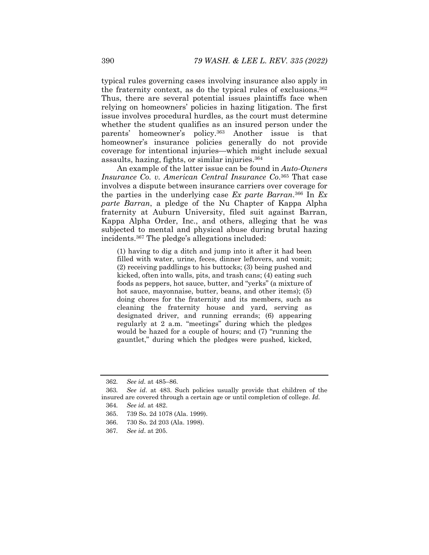typical rules governing cases involving insurance also apply in the fraternity context, as do the typical rules of exclusions.362 Thus, there are several potential issues plaintiffs face when relying on homeowners' policies in hazing litigation. The first issue involves procedural hurdles, as the court must determine whether the student qualifies as an insured person under the parents' homeowner's policy.363 Another issue is that homeowner's insurance policies generally do not provide coverage for intentional injuries—which might include sexual assaults, hazing, fights, or similar injuries.364

An example of the latter issue can be found in *Auto-Owners Insurance Co. v. American Central Insurance Co*.365 That case involves a dispute between insurance carriers over coverage for the parties in the underlying case *Ex parte Barran*.366 In *Ex parte Barran*, a pledge of the Nu Chapter of Kappa Alpha fraternity at Auburn University, filed suit against Barran, Kappa Alpha Order, Inc., and others, alleging that he was subjected to mental and physical abuse during brutal hazing incidents.367 The pledge's allegations included:

(1) having to dig a ditch and jump into it after it had been filled with water, urine, feces, dinner leftovers, and vomit; (2) receiving paddlings to his buttocks; (3) being pushed and kicked, often into walls, pits, and trash cans; (4) eating such foods as peppers, hot sauce, butter, and "yerks" (a mixture of hot sauce, mayonnaise, butter, beans, and other items); (5) doing chores for the fraternity and its members, such as cleaning the fraternity house and yard, serving as designated driver, and running errands; (6) appearing regularly at 2 a.m. "meetings" during which the pledges would be hazed for a couple of hours; and (7) "running the gauntlet," during which the pledges were pushed, kicked,

<sup>362</sup>*. See id.* at 485–86.

<sup>363</sup>*. See id*. at 483. Such policies usually provide that children of the insured are covered through a certain age or until completion of college. *Id.* 

<sup>364</sup>*. See id.* at 482.

 <sup>365. 739</sup> So. 2d 1078 (Ala. 1999).

 <sup>366. 730</sup> So. 2d 203 (Ala. 1998).

<sup>367</sup>*. See id*. at 205.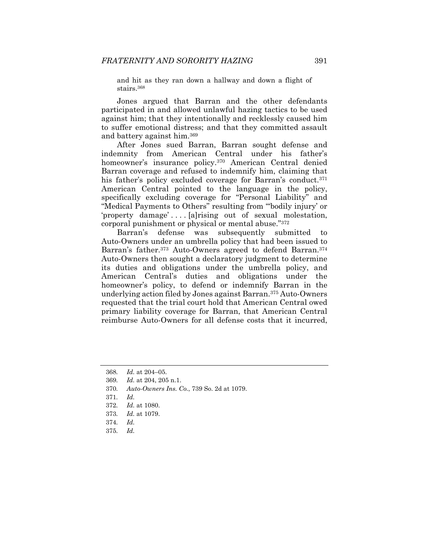and hit as they ran down a hallway and down a flight of stairs.368

Jones argued that Barran and the other defendants participated in and allowed unlawful hazing tactics to be used against him; that they intentionally and recklessly caused him to suffer emotional distress; and that they committed assault and battery against him.369

After Jones sued Barran, Barran sought defense and indemnity from American Central under his father's homeowner's insurance policy.370 American Central denied Barran coverage and refused to indemnify him, claiming that his father's policy excluded coverage for Barran's conduct.<sup>371</sup> American Central pointed to the language in the policy, specifically excluding coverage for "Personal Liability" and "Medical Payments to Others" resulting from "'bodily injury' or 'property damage' . . . . [a]rising out of sexual molestation, corporal punishment or physical or mental abuse."372

Barran's defense was subsequently submitted to Auto-Owners under an umbrella policy that had been issued to Barran's father.373 Auto-Owners agreed to defend Barran.374 Auto-Owners then sought a declaratory judgment to determine its duties and obligations under the umbrella policy, and American Central's duties and obligations under the homeowner's policy, to defend or indemnify Barran in the underlying action filed by Jones against Barran.375 Auto-Owners requested that the trial court hold that American Central owed primary liability coverage for Barran, that American Central reimburse Auto-Owners for all defense costs that it incurred,

- 372*. Id.* at 1080.
- 373*. Id.* at 1079.
- 374*. Id.*
- 375*. Id.*

<sup>368</sup>*. Id.* at 204–05.

<sup>369</sup>*. Id.* at 204, 205 n.1.

<sup>370</sup>*. Auto-Owners Ins. Co.*, 739 So. 2d at 1079.

<sup>371</sup>*. Id.*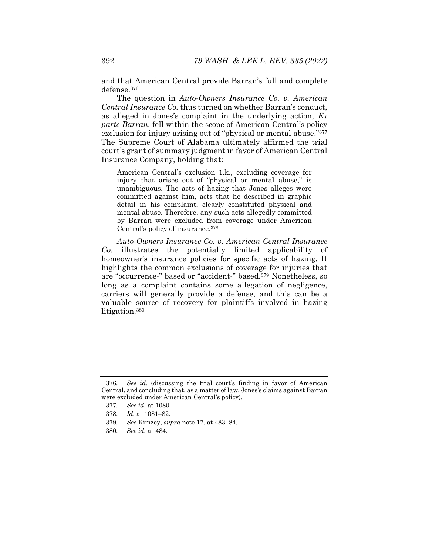and that American Central provide Barran's full and complete defense.376

The question in *Auto-Owners Insurance Co. v. American Central Insurance Co.* thus turned on whether Barran's conduct, as alleged in Jones's complaint in the underlying action, *Ex parte Barran*, fell within the scope of American Central's policy exclusion for injury arising out of "physical or mental abuse."377 The Supreme Court of Alabama ultimately affirmed the trial court's grant of summary judgment in favor of American Central Insurance Company, holding that:

American Central's exclusion 1.k., excluding coverage for injury that arises out of "physical or mental abuse," is unambiguous. The acts of hazing that Jones alleges were committed against him, acts that he described in graphic detail in his complaint, clearly constituted physical and mental abuse. Therefore, any such acts allegedly committed by Barran were excluded from coverage under American Central's policy of insurance.378

*Auto-Owners Insurance Co. v. American Central Insurance Co.* illustrates the potentially limited applicability of homeowner's insurance policies for specific acts of hazing. It highlights the common exclusions of coverage for injuries that are "occurrence-" based or "accident-" based.379 Nonetheless, so long as a complaint contains some allegation of negligence, carriers will generally provide a defense, and this can be a valuable source of recovery for plaintiffs involved in hazing litigation.380

<sup>376</sup>*. See id.* (discussing the trial court's finding in favor of American Central, and concluding that, as a matter of law, Jones's claims against Barran were excluded under American Central's policy).

<sup>377</sup>*. See id.* at 1080.

<sup>378</sup>*. Id.* at 1081–82.

<sup>379</sup>*. See* Kimzey, *supra* note 17, at 483–84.

<sup>380</sup>*. See id.* at 484.